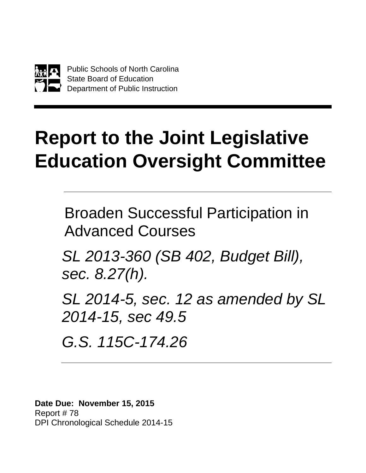

# **Report to the Joint Legislative Education Oversight Committee**

Broaden Successful Participation in Advanced Courses

*SL 2013-360 (SB 402, Budget Bill), sec. 8.27(h).*

*SL 2014-5, sec. 12 as amended by SL 2014-15, sec 49.5*

*G.S. 115C-174.26*

**Date Due: November 15, 2015** Report # 78 DPI Chronological Schedule 2014-15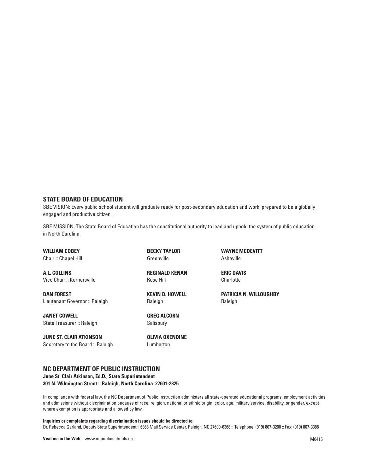#### **STATE BOARD OF EDUCATION**

SBE VISION: Every public school student will graduate ready for post-secondary education and work, prepared to be a globally engaged and productive citizen.

SBE MISSION: The State Board of Education has the constitutional authority to lead and uphold the system of public education in North Carolina.

**WILLIAM COBEY** Chair :: Chapel Hill

**A.L. COLLINS** Vice Chair :: Kernersville

**DAN FOREST** Lieutenant Governor :: Raleigh

**JANET COWELL** State Treasurer :: Raleigh

**JUNE ST. CLAIR ATKINSON** Secretary to the Board :: Raleigh **BECKY TAYLOR** Greenville

**REGINALD KENAN** Rose Hill

**KEVIN D. HOWELL** Raleigh

**GREG ALCORN** Salisbury

**OLIVIA OXENDINE** Lumberton

**WAYNE MCDEVITT** Asheville

**ERIC DAVIS Charlotte** 

**PATRICIA N. WILLOUGHBY** Raleigh

### **NC DEPARTMENT OF PUBLIC INSTRUCTION**

**June St. Clair Atkinson, Ed.D., State Superintendent 301 N. Wilmington Street :: Raleigh, North Carolina 27601-2825** 

In compliance with federal law, the NC Department of Public Instruction administers all state-operated educational programs, employment activities and admissions without discrimination because of race, religion, national or ethnic origin, color, age, military service, disability, or gender, except where exemption is appropriate and allowed by law.

### **Inquiries or complaints regarding discrimination issues should be directed to:**

Dr. Rebecca Garland, Deputy State Superintendent :: 6368 Mail Service Center, Raleigh, NC 27699-6368 :: Telephone: (919) 807-3200 :: Fax: (919) 807-3388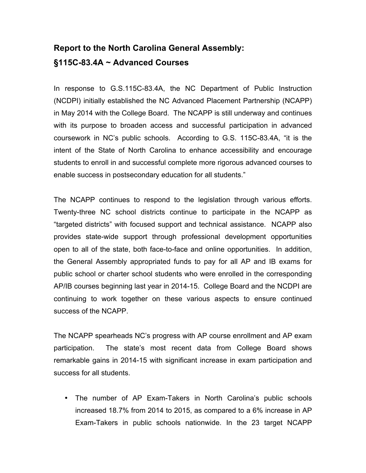# **Report to the North Carolina General Assembly: §115C-83.4A ~ Advanced Courses**

In response to G.S.115C-83.4A, the NC Department of Public Instruction (NCDPI) initially established the NC Advanced Placement Partnership (NCAPP) in May 2014 with the College Board. The NCAPP is still underway and continues with its purpose to broaden access and successful participation in advanced coursework in NC's public schools. According to G.S. 115C-83.4A, "it is the intent of the State of North Carolina to enhance accessibility and encourage students to enroll in and successful complete more rigorous advanced courses to enable success in postsecondary education for all students."

The NCAPP continues to respond to the legislation through various efforts. Twenty-three NC school districts continue to participate in the NCAPP as "targeted districts" with focused support and technical assistance. NCAPP also provides state-wide support through professional development opportunities open to all of the state, both face-to-face and online opportunities. In addition, the General Assembly appropriated funds to pay for all AP and IB exams for public school or charter school students who were enrolled in the corresponding AP/IB courses beginning last year in 2014-15. College Board and the NCDPI are continuing to work together on these various aspects to ensure continued success of the NCAPP.

The NCAPP spearheads NC's progress with AP course enrollment and AP exam participation. The state's most recent data from College Board shows remarkable gains in 2014-15 with significant increase in exam participation and success for all students.

• The number of AP Exam-Takers in North Carolina's public schools increased 18.7% from 2014 to 2015, as compared to a 6% increase in AP Exam-Takers in public schools nationwide. In the 23 target NCAPP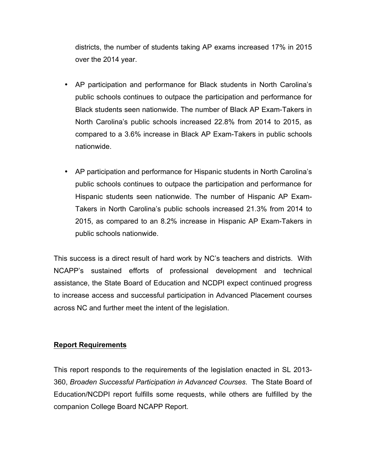districts, the number of students taking AP exams increased 17% in 2015 over the 2014 year.

- AP participation and performance for Black students in North Carolina's public schools continues to outpace the participation and performance for Black students seen nationwide. The number of Black AP Exam-Takers in North Carolina's public schools increased 22.8% from 2014 to 2015, as compared to a 3.6% increase in Black AP Exam-Takers in public schools nationwide.
- AP participation and performance for Hispanic students in North Carolina's public schools continues to outpace the participation and performance for Hispanic students seen nationwide. The number of Hispanic AP Exam-Takers in North Carolina's public schools increased 21.3% from 2014 to 2015, as compared to an 8.2% increase in Hispanic AP Exam-Takers in public schools nationwide.

This success is a direct result of hard work by NC's teachers and districts. With NCAPP's sustained efforts of professional development and technical assistance, the State Board of Education and NCDPI expect continued progress to increase access and successful participation in Advanced Placement courses across NC and further meet the intent of the legislation.

### **Report Requirements**

This report responds to the requirements of the legislation enacted in SL 2013- 360, *Broaden Successful Participation in Advanced Courses*. The State Board of Education/NCDPI report fulfills some requests, while others are fulfilled by the companion College Board NCAPP Report.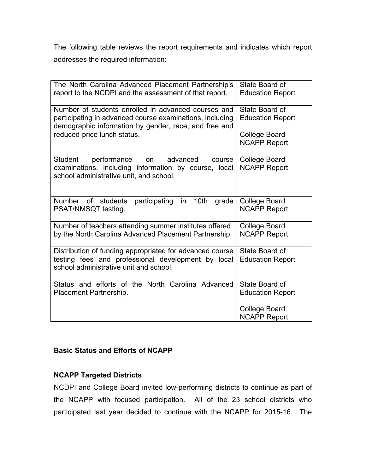The following table reviews the report requirements and indicates which report addresses the required information:

| The North Carolina Advanced Placement Partnership's<br>report to the NCDPI and the assessment of that report.                                                            | State Board of<br><b>Education Report</b>   |
|--------------------------------------------------------------------------------------------------------------------------------------------------------------------------|---------------------------------------------|
| Number of students enrolled in advanced courses and<br>participating in advanced course examinations, including<br>demographic information by gender, race, and free and | State Board of<br><b>Education Report</b>   |
| reduced-price lunch status.                                                                                                                                              | <b>College Board</b><br><b>NCAPP Report</b> |
| <b>Student</b><br>performance<br>advanced<br>on<br>course<br>examinations, including information by course, local<br>school administrative unit, and school.             | <b>College Board</b><br><b>NCAPP Report</b> |
| participating in<br>Number of students<br>10 <sub>th</sub><br>grade<br>PSAT/NMSQT testing.                                                                               | <b>College Board</b><br><b>NCAPP Report</b> |
| Number of teachers attending summer institutes offered<br>by the North Carolina Advanced Placement Partnership.                                                          | <b>College Board</b><br><b>NCAPP Report</b> |
| Distribution of funding appropriated for advanced course<br>testing fees and professional development by local<br>school administrative unit and school.                 | State Board of<br><b>Education Report</b>   |
| Status and efforts of the North Carolina Advanced<br>Placement Partnership.                                                                                              | State Board of<br><b>Education Report</b>   |
|                                                                                                                                                                          | <b>College Board</b><br><b>NCAPP Report</b> |

### **Basic Status and Efforts of NCAPP**

### **NCAPP Targeted Districts**

NCDPI and College Board invited low-performing districts to continue as part of the NCAPP with focused participation. All of the 23 school districts who participated last year decided to continue with the NCAPP for 2015-16. The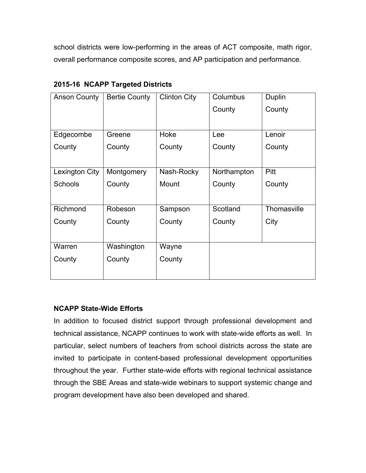school districts were low-performing in the areas of ACT composite, math rigor, overall performance composite scores, and AP participation and performance.

| <b>Anson County</b> | <b>Bertie County</b> | <b>Clinton City</b> | Columbus    | Duplin      |
|---------------------|----------------------|---------------------|-------------|-------------|
|                     |                      |                     | County      | County      |
|                     |                      |                     |             |             |
| Edgecombe           | Greene               | Hoke                | Lee         | Lenoir      |
| County              | County               | County              | County      | County      |
|                     |                      |                     |             |             |
| Lexington City      | Montgomery           | Nash-Rocky          | Northampton | <b>Pitt</b> |
| <b>Schools</b>      | County               | Mount               | County      | County      |
|                     |                      |                     |             |             |
| Richmond            | Robeson              | Sampson             | Scotland    | Thomasville |
| County              | County               | County              | County      | City        |
|                     |                      |                     |             |             |
| Warren              | Washington           | Wayne               |             |             |
| County              | County               | County              |             |             |
|                     |                      |                     |             |             |

**2015-16 NCAPP Targeted Districts**

### **NCAPP State-Wide Efforts**

In addition to focused district support through professional development and technical assistance, NCAPP continues to work with state-wide efforts as well. In particular, select numbers of teachers from school districts across the state are invited to participate in content-based professional development opportunities throughout the year. Further state-wide efforts with regional technical assistance through the SBE Areas and state-wide webinars to support systemic change and program development have also been developed and shared.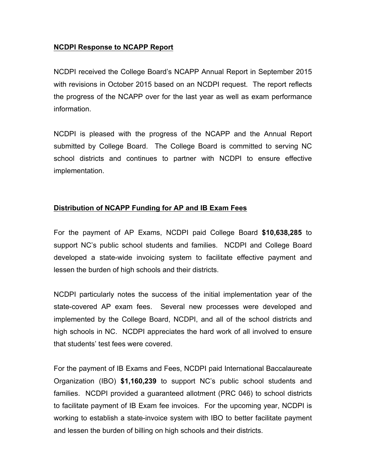### **NCDPI Response to NCAPP Report**

NCDPI received the College Board's NCAPP Annual Report in September 2015 with revisions in October 2015 based on an NCDPI request. The report reflects the progress of the NCAPP over for the last year as well as exam performance information.

NCDPI is pleased with the progress of the NCAPP and the Annual Report submitted by College Board. The College Board is committed to serving NC school districts and continues to partner with NCDPI to ensure effective implementation.

### **Distribution of NCAPP Funding for AP and IB Exam Fees**

For the payment of AP Exams, NCDPI paid College Board **\$10,638,285** to support NC's public school students and families. NCDPI and College Board developed a state-wide invoicing system to facilitate effective payment and lessen the burden of high schools and their districts.

NCDPI particularly notes the success of the initial implementation year of the state-covered AP exam fees. Several new processes were developed and implemented by the College Board, NCDPI, and all of the school districts and high schools in NC. NCDPI appreciates the hard work of all involved to ensure that students' test fees were covered.

For the payment of IB Exams and Fees, NCDPI paid International Baccalaureate Organization (IBO) **\$1,160,239** to support NC's public school students and families. NCDPI provided a guaranteed allotment (PRC 046) to school districts to facilitate payment of IB Exam fee invoices. For the upcoming year, NCDPI is working to establish a state-invoice system with IBO to better facilitate payment and lessen the burden of billing on high schools and their districts.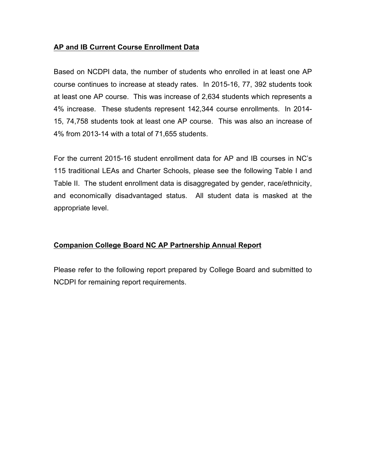### **AP and IB Current Course Enrollment Data**

Based on NCDPI data, the number of students who enrolled in at least one AP course continues to increase at steady rates. In 2015-16, 77, 392 students took at least one AP course. This was increase of 2,634 students which represents a 4% increase. These students represent 142,344 course enrollments. In 2014- 15, 74,758 students took at least one AP course. This was also an increase of 4% from 2013-14 with a total of 71,655 students.

For the current 2015-16 student enrollment data for AP and IB courses in NC's 115 traditional LEAs and Charter Schools, please see the following Table I and Table II. The student enrollment data is disaggregated by gender, race/ethnicity, and economically disadvantaged status. All student data is masked at the appropriate level.

### **Companion College Board NC AP Partnership Annual Report**

Please refer to the following report prepared by College Board and submitted to NCDPI for remaining report requirements.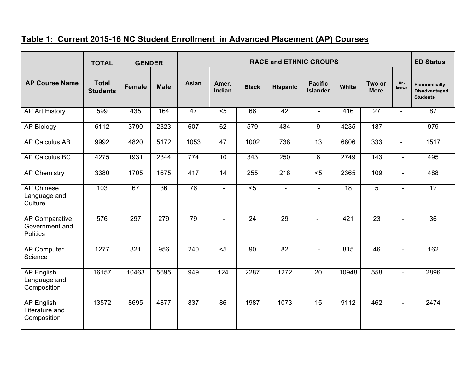### **Table 1: Current 2015-16 NC Student Enrollment in Advanced Placement (AP) Courses**

|                                                            | <b>TOTAL</b>                    | <b>GENDER</b> |             | <b>RACE and ETHNIC GROUPS</b> |                 |                 |                  |                                   |       | <b>ED Status</b>      |                          |                                                                |
|------------------------------------------------------------|---------------------------------|---------------|-------------|-------------------------------|-----------------|-----------------|------------------|-----------------------------------|-------|-----------------------|--------------------------|----------------------------------------------------------------|
| <b>AP Course Name</b>                                      | <b>Total</b><br><b>Students</b> | <b>Female</b> | <b>Male</b> | Asian                         | Amer.<br>Indian | <b>Black</b>    | <b>Hispanic</b>  | <b>Pacific</b><br><b>Islander</b> | White | Two or<br><b>More</b> | Un-<br>known             | <b>Economically</b><br><b>Disadvantaged</b><br><b>Students</b> |
| <b>AP Art History</b>                                      | 599                             | 435           | 164         | 47                            | $5$             | 66              | 42               | $\blacksquare$                    | 416   | $\overline{27}$       | $\sim$                   | 87                                                             |
| <b>AP Biology</b>                                          | 6112                            | 3790          | 2323        | 607                           | 62              | 579             | 434              | 9                                 | 4235  | 187                   | $\sim$                   | 979                                                            |
| <b>AP Calculus AB</b>                                      | 9992                            | 4820          | 5172        | 1053                          | 47              | 1002            | 738              | 13                                | 6806  | 333                   | $\overline{\phantom{a}}$ | 1517                                                           |
| AP Calculus BC                                             | 4275                            | 1931          | 2344        | 774                           | 10              | $\frac{1}{343}$ | 250              | 6                                 | 2749  | 143                   | $\overline{\phantom{a}}$ | 495                                                            |
| <b>AP Chemistry</b>                                        | 3380                            | 1705          | 1675        | 417                           | 14              | 255             | $\overline{218}$ | $5$                               | 2365  | 109                   | $\blacksquare$           | 488                                                            |
| <b>AP Chinese</b><br>Language and<br>Culture               | 103                             | 67            | 36          | $\overline{76}$               | $\blacksquare$  | < 5             | $\overline{a}$   | $\mathbf{r}$                      | 18    | 5                     | $\overline{\phantom{0}}$ | $\overline{12}$                                                |
| <b>AP Comparative</b><br>Government and<br><b>Politics</b> | 576                             | 297           | 279         | 79                            |                 | $\overline{24}$ | 29               |                                   | 421   | $\overline{23}$       |                          | $\overline{36}$                                                |
| <b>AP Computer</b><br>Science                              | 1277                            | 321           | 956         | 240                           | $\overline{5}$  | 90              | 82               |                                   | 815   | 46                    |                          | 162                                                            |
| <b>AP English</b><br>Language and<br>Composition           | 16157                           | 10463         | 5695        | 949                           | 124             | 2287            | 1272             | 20                                | 10948 | 558                   | $\overline{\phantom{0}}$ | 2896                                                           |
| <b>AP English</b><br>Literature and<br>Composition         | 13572                           | 8695          | 4877        | 837                           | 86              | 1987            | 1073             | 15                                | 9112  | 462                   | $\blacksquare$           | 2474                                                           |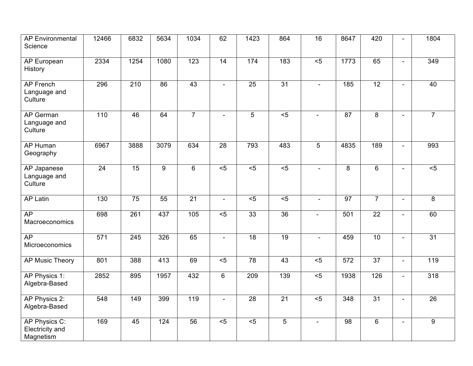| <b>AP Environmental</b><br>Science            | 12466             | 6832            | 5634            | 1034             | 62                       | 1423            | 864             | $\overline{16}$ | 8647           | 420             |                          | 1804            |
|-----------------------------------------------|-------------------|-----------------|-----------------|------------------|--------------------------|-----------------|-----------------|-----------------|----------------|-----------------|--------------------------|-----------------|
| AP European<br>History                        | 2334              | 1254            | 1080            | $\overline{123}$ | 14                       | 174             | 183             | $\overline{5}$  | 1773           | 65              | $\blacksquare$           | 349             |
| <b>AP French</b><br>Language and<br>Culture   | 296               | 210             | 86              | 43               | $\overline{\phantom{0}}$ | $\overline{25}$ | $\overline{31}$ |                 | 185            | 12              |                          | 40              |
| AP German<br>Language and<br>Culture          | $\frac{110}{110}$ | 46              | 64              | $\overline{7}$   | $\overline{a}$           | $\overline{5}$  | $\overline{5}$  | $\sim$          | 87             | 8               | $\sim$                   | $\overline{7}$  |
| <b>AP Human</b><br>Geography                  | 6967              | 3888            | 3079            | 634              | $\overline{28}$          | 793             | 483             | $\overline{5}$  | 4835           | 189             |                          | 993             |
| AP Japanese<br>Language and<br>Culture        | $\overline{24}$   | 15              | $\overline{9}$  | $6\phantom{1}$   | $5$                      | $\overline{5}$  | < 5             | $\blacksquare$  | $\overline{8}$ | $6\phantom{1}$  | $\sim$                   | $\overline{5}$  |
| <b>AP Latin</b>                               | 130               | $\overline{75}$ | 55              | $\overline{21}$  | $\sim$                   | $\overline{5}$  | $\overline{5}$  | $\overline{a}$  | 97             | $\overline{7}$  |                          | 8               |
| AP<br>Macroeconomics                          | 698               | 261             | 437             | 105              | $\overline{5}$           | 33              | $\overline{36}$ | $\overline{a}$  | 501            | $\overline{22}$ | $\sim$                   | 60              |
| AP<br>Microeconomics                          | 571               | 245             | 326             | 65               | $\blacksquare$           | $\overline{18}$ | $\overline{19}$ | $\blacksquare$  | 459            | $\overline{10}$ | $\blacksquare$           | 31              |
| AP Music Theory                               | 801               | 388             | 413             | 69               | $5$                      | 78              | 43              | $\overline{5}$  | 572            | $\overline{37}$ |                          | 119             |
| AP Physics 1:<br>Algebra-Based                | 2852              | 895             | 1957            | 432              | 6                        | 209             | 139             | $\overline{5}$  | 1938           | 126             | $\blacksquare$           | 318             |
| AP Physics 2:<br>Algebra-Based                | 548               | 149             | 399             | 119              | $\sim$                   | 28              | 21              | $\overline{5}$  | 348            | $\overline{31}$ | $\overline{\phantom{a}}$ | $\overline{26}$ |
| AP Physics C:<br>Electricity and<br>Magnetism | 169               | 45              | $\frac{124}{x}$ | 56               | $\overline{5}$           | $\overline{5}$  | $\overline{5}$  |                 | 98             | $\overline{6}$  |                          | $\overline{9}$  |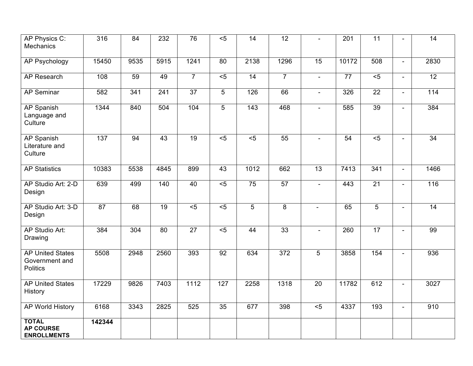| AP Physics C:<br>Mechanics                                   | 316    | 84   | 232             | 76               | $5$              | 14               | 12 <sup>°</sup> |                 | 201             | $\overline{11}$ |                          | 14               |
|--------------------------------------------------------------|--------|------|-----------------|------------------|------------------|------------------|-----------------|-----------------|-----------------|-----------------|--------------------------|------------------|
| <b>AP Psychology</b>                                         | 15450  | 9535 | 5915            | 1241             | 80               | 2138             | 1296            | $\overline{15}$ | 10172           | 508             | $\mathbf{u}$             | 2830             |
| <b>AP Research</b>                                           | 108    | 59   | 49              | $\overline{7}$   | $\overline{5}$   | 14               | $\overline{7}$  | $\blacksquare$  | $\overline{77}$ | $\overline{5}$  | $\blacksquare$           | $\overline{12}$  |
| <b>AP Seminar</b>                                            | 582    | 341  | 241             | $\overline{37}$  | $5\phantom{.0}$  | 126              | 66              | $\blacksquare$  | 326             | $\overline{22}$ | $\overline{\phantom{a}}$ | $\overline{114}$ |
| AP Spanish<br>Language and<br>Culture                        | 1344   | 840  | 504             | 104              | 5                | $\overline{143}$ | 468             |                 | 585             | 39              |                          | 384              |
| <b>AP Spanish</b><br>Literature and<br>Culture               | 137    | 94   | 43              | $\overline{19}$  | $\overline{5}$   | $\overline{5}$   | $\overline{55}$ |                 | 54              | $\overline{5}$  | $\overline{\phantom{a}}$ | $\overline{34}$  |
| <b>AP Statistics</b>                                         | 10383  | 5538 | 4845            | 899              | 43               | 1012             | 662             | 13              | 7413            | 341             |                          | 1466             |
| AP Studio Art: 2-D<br>Design                                 | 639    | 499  | $\frac{140}{ }$ | 40               | $\overline{5}$   | 75               | $\overline{57}$ | $\mathbf{r}$    | 443             | $\overline{21}$ | $\blacksquare$           | 116              |
| AP Studio Art: 3-D<br>Design                                 | 87     | 68   | $\overline{19}$ | $\overline{5}$   | $\overline{5}$   | 5                | 8               | $\blacksquare$  | 65              | 5               | $\overline{\phantom{a}}$ | 14               |
| AP Studio Art:<br>Drawing                                    | 384    | 304  | 80              | $\overline{27}$  | $\overline{5}$   | 44               | 33              |                 | 260             | 17              |                          | 99               |
| <b>AP United States</b><br>Government and<br><b>Politics</b> | 5508   | 2948 | 2560            | 393              | 92               | 634              | $\frac{1}{372}$ | 5               | 3858            | 154             | $\overline{a}$           | 936              |
| <b>AP United States</b><br>History                           | 17229  | 9826 | 7403            | $\frac{1112}{2}$ | $\overline{127}$ | 2258             | 1318            | $\overline{20}$ | 11782           | 612             | $\blacksquare$           | 3027             |
| AP World History                                             | 6168   | 3343 | 2825            | 525              | $\overline{35}$  | 677              | 398             | $5$             | 4337            | 193             | $\blacksquare$           | 910              |
| <b>TOTAL</b><br><b>AP COURSE</b><br><b>ENROLLMENTS</b>       | 142344 |      |                 |                  |                  |                  |                 |                 |                 |                 |                          |                  |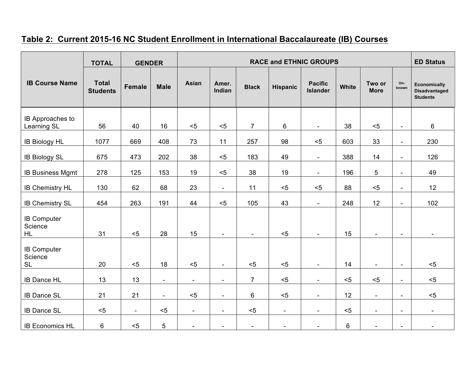### **Table 2: Current 2015-16 NC Student Enrollment in International Baccalaureate (IB) Courses**

|                                            | <b>TOTAL</b>                    | <b>GENDER</b>            |                          | <b>RACE and ETHNIC GROUPS</b> |                                    |                |                          |                                   |       | <b>ED Status</b>         |                                                      |                                                                |
|--------------------------------------------|---------------------------------|--------------------------|--------------------------|-------------------------------|------------------------------------|----------------|--------------------------|-----------------------------------|-------|--------------------------|------------------------------------------------------|----------------------------------------------------------------|
| <b>IB Course Name</b>                      | <b>Total</b><br><b>Students</b> | <b>Female</b>            | <b>Male</b>              | <b>Asian</b>                  | Amer.<br>Indian                    | <b>Black</b>   | <b>Hispanic</b>          | <b>Pacific</b><br><b>Islander</b> | White | Two or<br><b>More</b>    | Un-<br>known                                         | <b>Economically</b><br><b>Disadvantaged</b><br><b>Students</b> |
| IB Approaches to<br>Learning SL            | 56                              | 40                       | 16                       | $5$                           | $5$                                | $\overline{7}$ | 6                        | $\overline{\phantom{a}}$          | 38    | $5$                      | $\overline{\phantom{a}}$                             | 6                                                              |
| <b>IB Biology HL</b>                       | 1077                            | 669                      | 408                      | 73                            | 11                                 | 257            | 98                       | $5$                               | 603   | 33                       | $\overline{\phantom{a}}$                             | 230                                                            |
| <b>IB Biology SL</b>                       | 675                             | 473                      | 202                      | 38                            | $5$                                | 183            | 49                       | $\overline{\phantom{a}}$          | 388   | 14                       | $\overline{\phantom{a}}$                             | 126                                                            |
| <b>IB Business Mgmt</b>                    | 278                             | 125                      | 153                      | 19                            | $5$                                | 38             | 19                       | $\overline{\phantom{a}}$          | 196   | 5                        | $\overline{\phantom{a}}$                             | 49                                                             |
| IB Chemistry HL                            | 130                             | 62                       | 68                       | 23                            | $\sim$                             | 11             | $5$                      | $5$                               | 88    | $5$                      | $\overline{\phantom{a}}$                             | 12                                                             |
| <b>IB Chemistry SL</b>                     | 454                             | 263                      | 191                      | 44                            | $5$                                | 105            | 43                       | $\sim$                            | 248   | 12                       | $\overline{\phantom{a}}$                             | 102                                                            |
| <b>IB Computer</b><br>Science<br><b>HL</b> | 31                              | $5$                      | 28                       | 15                            | $\overline{\phantom{a}}$           | $\blacksquare$ | $5$                      | $\blacksquare$                    | 15    | $\overline{\phantom{a}}$ | $\overline{\phantom{a}}$                             | $\overline{\phantom{a}}$                                       |
| <b>IB Computer</b><br>Science<br><b>SL</b> | 20                              | $5$                      | 18                       | $5$                           |                                    | $5$            | $5$                      | $\blacksquare$                    | 14    |                          |                                                      | $5$                                                            |
| <b>IB Dance HL</b>                         | 13                              | 13                       | $\overline{\phantom{a}}$ | $\overline{\phantom{a}}$      | $\sim$<br>$\overline{\phantom{a}}$ | $\overline{7}$ | $5$                      | $\blacksquare$                    | $5$   | $\blacksquare$<br>$5$    | $\overline{\phantom{a}}$<br>$\overline{\phantom{m}}$ | $5$                                                            |
| <b>IB Dance SL</b>                         | 21                              | 21                       | $\overline{\phantom{a}}$ | $5$                           | $\blacksquare$                     | 6              | $5$                      | $\overline{\phantom{a}}$          | 12    | $\overline{\phantom{a}}$ | $\overline{\phantom{a}}$                             | $5$                                                            |
| <b>IB Dance SL</b>                         | $5$                             | $\overline{\phantom{a}}$ | $5$                      | $\overline{\phantom{a}}$      | $\blacksquare$                     | $5$            | $\overline{\phantom{a}}$ | $\overline{\phantom{a}}$          | $5$   | $\overline{\phantom{a}}$ | $\overline{\phantom{a}}$                             | $\overline{\phantom{a}}$                                       |
| <b>IB Economics HL</b>                     | 6                               | $5$                      | 5                        | $\blacksquare$                | $\overline{\phantom{a}}$           | $\blacksquare$ | $\blacksquare$           | $\blacksquare$                    | 6     | $\blacksquare$           | $\overline{\phantom{a}}$                             | $\overline{\phantom{0}}$                                       |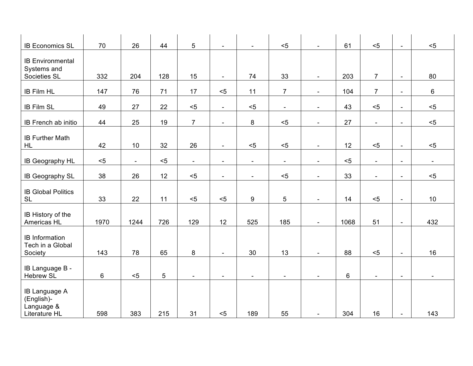| <b>IB Economics SL</b>                                            | 70   | 26     | 44  | 5              | $\blacksquare$           | $\sim$                   | $5$                      | $\overline{a}$           | 61      | $5$                      | $\blacksquare$           | $5$             |
|-------------------------------------------------------------------|------|--------|-----|----------------|--------------------------|--------------------------|--------------------------|--------------------------|---------|--------------------------|--------------------------|-----------------|
| <b>IB Environmental</b><br>Systems and<br>Societies SL            | 332  | 204    | 128 | 15             | $\overline{\phantom{a}}$ | 74                       | 33                       | $\overline{\phantom{a}}$ | 203     | $\overline{7}$           | $\overline{\phantom{a}}$ | 80              |
| <b>IB Film HL</b>                                                 | 147  | 76     | 71  | 17             | $5$                      | 11                       | $\overline{7}$           | $\overline{\phantom{a}}$ | 104     | $\overline{7}$           | $\overline{\phantom{a}}$ | 6               |
| <b>IB Film SL</b>                                                 | 49   | 27     | 22  | $5$            | $\overline{\phantom{a}}$ | $5$                      | $\overline{\phantom{a}}$ | $\overline{\phantom{a}}$ | 43      | $5$                      | $\overline{\phantom{a}}$ | $5$             |
| IB French ab initio                                               | 44   | 25     | 19  | $\overline{7}$ | $\overline{\phantom{a}}$ | 8                        | $5$                      | $\overline{\phantom{a}}$ | 27      | $\overline{\phantom{a}}$ | $\overline{\phantom{a}}$ | $5$             |
| <b>IB Further Math</b><br>HL                                      | 42   | 10     | 32  | 26             | $\blacksquare$           | $5$                      | $5$                      | $\overline{\phantom{a}}$ | 12      | $5$                      | $\blacksquare$           | $5$             |
| IB Geography HL                                                   | $5$  | $\sim$ | $5$ | $\blacksquare$ | $\sim$                   | $\overline{\phantom{a}}$ | $\blacksquare$           | $\overline{\phantom{a}}$ | $5$     | $\overline{\phantom{a}}$ | $\blacksquare$           | $\sim$          |
| IB Geography SL                                                   | 38   | 26     | 12  | $5$            | $\blacksquare$           | $\sim$                   | $5$                      | $\blacksquare$           | 33      | $\overline{\phantom{a}}$ | $\overline{\phantom{a}}$ | $5$             |
| <b>IB Global Politics</b><br><b>SL</b>                            | 33   | 22     | 11  | $5$            | $5$                      | 9                        | 5                        | $\blacksquare$           | 14      | $5$                      | $\blacksquare$           | 10 <sup>°</sup> |
| IB History of the<br>Americas HL                                  | 1970 | 1244   | 726 | 129            | 12                       | 525                      | 185                      | $\blacksquare$           | 1068    | 51                       | $\blacksquare$           | 432             |
| <b>IB</b> Information<br>Tech in a Global<br>Society              | 143  | 78     | 65  | 8              | $\blacksquare$           | 30                       | 13                       | $\blacksquare$           | 88      | $5$                      | $\overline{\phantom{a}}$ | 16              |
| IB Language B -<br><b>Hebrew SL</b>                               | 6    | $5$    | 5   | $\blacksquare$ | $\blacksquare$           | $\blacksquare$           | $\blacksquare$           | $\blacksquare$           | $\,6\,$ | $\blacksquare$           | $\blacksquare$           |                 |
| <b>IB Language A</b><br>(English)-<br>Language &<br>Literature HL | 598  | 383    | 215 | 31             | $5$                      | 189                      | 55                       |                          | 304     | 16                       | $\overline{\phantom{a}}$ | 143             |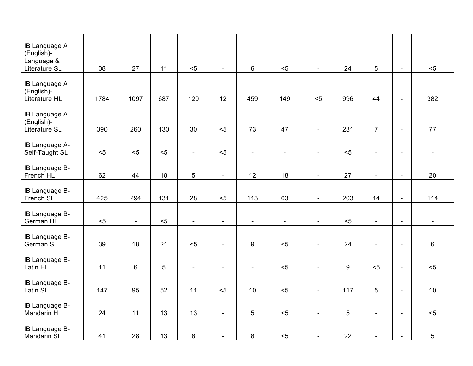| <b>IB Language A</b><br>(English)-<br>Language &<br>Literature SL | 38   | 27                       | 11    | $5$                      | $\sim$                   | 6                        | $5$                      | $\blacksquare$           | 24             | 5                        | $\blacksquare$           | $5$                      |
|-------------------------------------------------------------------|------|--------------------------|-------|--------------------------|--------------------------|--------------------------|--------------------------|--------------------------|----------------|--------------------------|--------------------------|--------------------------|
| <b>IB Language A</b><br>(English)-<br>Literature HL               | 1784 | 1097                     | 687   | 120                      | 12                       | 459                      | 149                      | $5$                      | 996            | 44                       | $\overline{a}$           | 382                      |
| IB Language A<br>(English)-<br>Literature SL                      | 390  | 260                      | 130   | 30                       | $< 5$                    | 73                       | 47                       | $\overline{\phantom{a}}$ | 231            | $\overline{7}$           | $\overline{\phantom{a}}$ | 77                       |
| IB Language A-<br>Self-Taught SL                                  | $5$  | $5$                      | $5$   | $\blacksquare$           | $5$                      | $\overline{\phantom{a}}$ | $\overline{\phantom{a}}$ | $\overline{\phantom{a}}$ | $5$            | $\blacksquare$           | $\overline{\phantom{a}}$ | $\overline{\phantom{a}}$ |
| IB Language B-<br>French HL                                       | 62   | 44                       | 18    | 5                        | $\blacksquare$           | 12                       | 18                       | $\blacksquare$           | 27             | $\overline{\phantom{a}}$ | $\overline{\phantom{a}}$ | 20                       |
| IB Language B-<br>French SL                                       | 425  | 294                      | 131   | 28                       | $5$                      | 113                      | 63                       | $\overline{a}$           | 203            | 14                       | $\blacksquare$           | 114                      |
| IB Language B-<br>German HL                                       | $5$  | $\overline{\phantom{a}}$ | $< 5$ | $\overline{\phantom{a}}$ | $\overline{\phantom{a}}$ | $\overline{\phantom{a}}$ | $\overline{\phantom{a}}$ | $\overline{\phantom{a}}$ | $5$            | $\overline{\phantom{a}}$ | $\overline{\phantom{a}}$ | $\overline{\phantom{a}}$ |
| IB Language B-<br>German SL                                       | 39   | 18                       | 21    | $< 5$                    | $\overline{\phantom{a}}$ | 9                        | $5$                      | $\overline{\phantom{a}}$ | 24             | $\overline{\phantom{a}}$ | $\overline{\phantom{a}}$ | 6                        |
| IB Language B-<br>Latin HL                                        | 11   | 6                        | 5     | $\blacksquare$           | $\sim$                   | $\overline{\phantom{a}}$ | $5$                      | $\blacksquare$           | 9              | $5$                      | $\mathbf{u}$             | $5$                      |
| IB Language B-<br>Latin SL                                        | 147  | 95                       | 52    | 11                       | $5$                      | 10                       | $5$                      | $\overline{\phantom{a}}$ | 117            | 5                        | $\overline{\phantom{a}}$ | 10                       |
| IB Language B-<br><b>Mandarin HL</b>                              | 24   | 11                       | 13    | 13                       | $\overline{\phantom{a}}$ | 5                        | < 5                      | $\blacksquare$           | $\overline{5}$ | $\overline{\phantom{a}}$ | $\overline{\phantom{a}}$ | $5$                      |
| IB Language B-<br><b>Mandarin SL</b>                              | 41   | 28                       | 13    | $\bf 8$                  | $\overline{\phantom{a}}$ | 8                        | $5$                      |                          | 22             |                          | $\blacksquare$           | 5                        |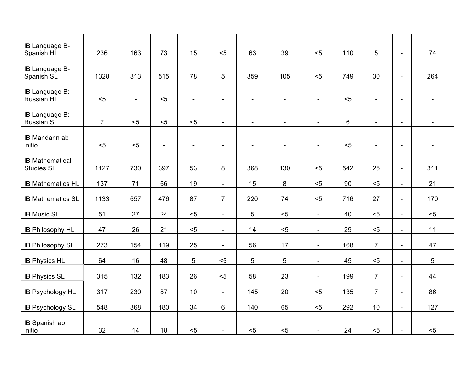| IB Language B-<br>Spanish HL                | 236            | 163            | 73                       | 15                       | < 5                      | 63                       | 39                       | $5$                      | 110 | 5                        | $\overline{\phantom{a}}$ | 74                       |
|---------------------------------------------|----------------|----------------|--------------------------|--------------------------|--------------------------|--------------------------|--------------------------|--------------------------|-----|--------------------------|--------------------------|--------------------------|
| IB Language B-<br>Spanish SL                | 1328           | 813            | 515                      | 78                       | 5                        | 359                      | 105                      | $5$                      | 749 | 30                       | $\blacksquare$           | 264                      |
| IB Language B:<br>Russian HL                | $< 5$          | $\blacksquare$ | $5$                      | $\sim$                   | $\blacksquare$           |                          |                          | $\overline{a}$           | $5$ |                          | $\overline{\phantom{a}}$ |                          |
| IB Language B:<br><b>Russian SL</b>         | 7 <sup>1</sup> | $5$            | $5$                      | $5$                      | $\sim$                   | $\overline{\phantom{a}}$ | $\blacksquare$           | $\blacksquare$           | 6   |                          | $\overline{\phantom{a}}$ |                          |
| IB Mandarin ab<br>initio                    | $< 5$          | $5$            | $\overline{\phantom{a}}$ | $\overline{\phantom{a}}$ | $\overline{\phantom{a}}$ | $\overline{\phantom{a}}$ | $\overline{\phantom{a}}$ | $\blacksquare$           | $5$ | $\overline{\phantom{a}}$ | $\overline{\phantom{a}}$ | $\overline{\phantom{a}}$ |
| <b>IB Mathematical</b><br><b>Studies SL</b> | 1127           | 730            | 397                      | 53                       | 8                        | 368                      | 130                      | $5$                      | 542 | 25                       | $\blacksquare$           | 311                      |
| <b>IB Mathematics HL</b>                    | 137            | 71             | 66                       | 19                       | $\blacksquare$           | 15                       | 8                        | $5$                      | 90  | $5$                      | $\blacksquare$           | 21                       |
| <b>IB Mathematics SL</b>                    | 1133           | 657            | 476                      | 87                       | $\overline{7}$           | 220                      | 74                       | $5$                      | 716 | 27                       | $\overline{\phantom{a}}$ | 170                      |
| <b>IB Music SL</b>                          | 51             | 27             | 24                       | $5$                      | $\overline{\phantom{a}}$ | $5\phantom{.0}$          | $5$                      | $\blacksquare$           | 40  | $5$                      | $\overline{\phantom{a}}$ | $5$                      |
| IB Philosophy HL                            | 47             | 26             | 21                       | $5$                      | $\overline{\phantom{a}}$ | 14                       | $5$                      | $\overline{\phantom{a}}$ | 29  | $5$                      | $\overline{\phantom{a}}$ | 11                       |
| <b>IB Philosophy SL</b>                     | 273            | 154            | 119                      | 25                       | $\blacksquare$           | 56                       | 17                       | $\sim$                   | 168 | $\overline{7}$           | $\blacksquare$           | 47                       |
| <b>IB Physics HL</b>                        | 64             | 16             | 48                       | 5                        | $5$                      | $5\phantom{.0}$          | 5                        | $\overline{\phantom{a}}$ | 45  | $5$                      | $\blacksquare$           | 5                        |
| <b>IB Physics SL</b>                        | 315            | 132            | 183                      | 26                       | $5$                      | 58                       | 23                       | $\overline{\phantom{a}}$ | 199 | $\overline{7}$           | $\blacksquare$           | 44                       |
| IB Psychology HL                            | 317            | 230            | 87                       | 10                       | $\sim$                   | 145                      | 20                       | < 5                      | 135 | $\overline{7}$           | $\blacksquare$           | 86                       |
| <b>IB Psychology SL</b>                     | 548            | 368            | 180                      | 34                       | 6                        | 140                      | 65                       | $5$                      | 292 | 10                       | $\overline{\phantom{a}}$ | 127                      |
| IB Spanish ab<br>initio                     | 32             | 14             | 18                       | $5$                      | $\blacksquare$           | $5$                      | $5$                      | $\overline{\phantom{a}}$ | 24  | $5$                      | $\overline{\phantom{a}}$ | $5$                      |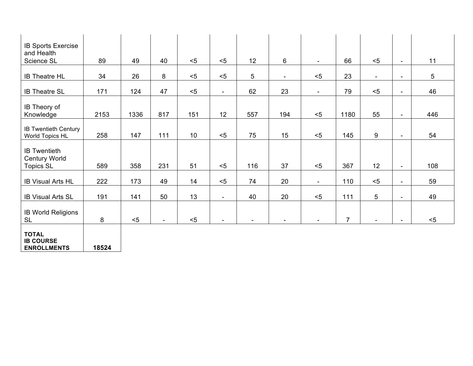| <b>IB Sports Exercise</b><br>and Health                         |       |      |                          |     |                          |                          |                          |                          |                |                          |                          |                 |
|-----------------------------------------------------------------|-------|------|--------------------------|-----|--------------------------|--------------------------|--------------------------|--------------------------|----------------|--------------------------|--------------------------|-----------------|
| Science SL                                                      | 89    | 49   | 40                       | $5$ | $5$                      | 12                       | 6                        | $\overline{\phantom{a}}$ | 66             | $5$                      | $\blacksquare$           | 11              |
| <b>IB Theatre HL</b>                                            | 34    | 26   | $\bf 8$                  | $5$ | $5$                      | $5\phantom{.0}$          | $\overline{\phantom{a}}$ | $5$                      | 23             | $\overline{\phantom{a}}$ | $\overline{\phantom{a}}$ | $5\phantom{.0}$ |
| <b>IB Theatre SL</b>                                            | 171   | 124  | 47                       | $5$ | $\overline{\phantom{a}}$ | 62                       | 23                       | $\blacksquare$           | 79             | $5$                      | $\blacksquare$           | 46              |
| IB Theory of<br>Knowledge                                       | 2153  | 1336 | 817                      | 151 | 12                       | 557                      | 194                      | < 5                      | 1180           | 55                       | $\blacksquare$           | 446             |
| <b>IB Twentieth Century</b><br>World Topics HL                  | 258   | 147  | 111                      | 10  | $5$                      | 75                       | 15                       | < 5                      | 145            | 9                        | $\blacksquare$           | 54              |
| <b>IB Twentieth</b><br><b>Century World</b><br><b>Topics SL</b> | 589   | 358  | 231                      | 51  | $5$                      | 116                      | 37                       | < 5                      | 367            | 12                       | $\blacksquare$           | 108             |
| <b>IB Visual Arts HL</b>                                        | 222   | 173  | 49                       | 14  | $5$                      | 74                       | 20                       | $\blacksquare$           | 110            | $5$                      | $\overline{\phantom{a}}$ | 59              |
| <b>IB Visual Arts SL</b>                                        | 191   | 141  | 50                       | 13  | $\overline{\phantom{a}}$ | 40                       | 20                       | $5$                      | 111            | $5\phantom{.0}$          | $\blacksquare$           | 49              |
| <b>IB World Religions</b><br><b>SL</b>                          | 8     | $5$  | $\overline{\phantom{a}}$ | $5$ | $\overline{\phantom{a}}$ | $\overline{\phantom{a}}$ | $\blacksquare$           | $\blacksquare$           | $\overline{7}$ | $\blacksquare$           | $\overline{\phantom{a}}$ | $5$             |
| <b>TOTAL</b><br><b>IB COURSE</b><br><b>ENROLLMENTS</b>          | 18524 |      |                          |     |                          |                          |                          |                          |                |                          |                          |                 |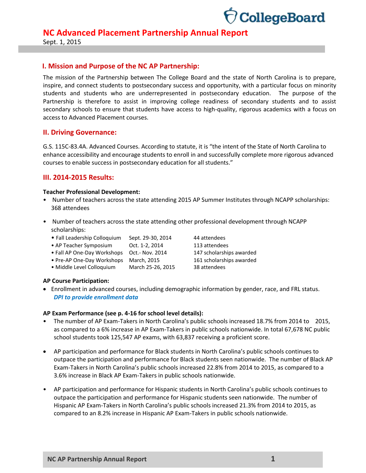

Sept. 1, 2015

#### **I. Mission and Purpose of the NC AP Partnership:**

The mission of the Partnership between The College Board and the state of North Carolina is to prepare, inspire, and connect students to postsecondary success and opportunity, with a particular focus on minority students and students who are underrepresented in postsecondary education. The purpose of the Partnership is therefore to assist in improving college readiness of secondary students and to assist secondary schools to ensure that students have access to high-quality, rigorous academics with a focus on access to Advanced Placement courses.

#### **II. Driving Governance:**

G.S. 115C-83.4A. Advanced Courses. According to statute, it is "the intent of the State of North Carolina to enhance accessibility and encourage students to enroll in and successfully complete more rigorous advanced courses to enable success in postsecondary education for all students."

#### **III. 2014-2015 Results:**

#### **Teacher Professional Development:**

- Number of teachers across the state attending 2015 AP Summer Institutes through NCAPP scholarships: 368 attendees
- Number of teachers across the state attending other professional development through NCAPP scholarships:
	- Fall Leadership Colloquium Sept. 29-30, 2014 44 attendees
	- AP Teacher Symposium Oct. 1-2, 2014 113 attendees
	- Fall AP One-Day Workshops Oct.- Nov. 2014 147 scholarships awarded
	- Pre-AP One-Day Workshops March, 2015 161 scholarships awarded
	- Middle Level Colloquium March 25-26, 2015 38 attendees

#### **AP Course Participation:**

 Enrollment in advanced courses, including demographic information by gender, race, and FRL status. *DPI to provide enrollment data*

#### **AP Exam Performance (see p. 4-16 for school level details):**

- The number of AP Exam-Takers in North Carolina's public schools increased 18.7% from 2014 to 2015, as compared to a 6% increase in AP Exam-Takers in public schools nationwide. In total 67,678 NC public school students took 125,547 AP exams, with 63,837 receiving a proficient score.
- AP participation and performance for Black students in North Carolina's public schools continues to outpace the participation and performance for Black students seen nationwide.The number of Black AP Exam-Takers in North Carolina's public schools increased 22.8% from 2014 to 2015, as compared to a 3.6% increase in Black AP Exam-Takers in public schools nationwide.
- AP participation and performance for Hispanic students in North Carolina's public schools continues to outpace the participation and performance for Hispanic students seen nationwide. The number of Hispanic AP Exam-Takers in North Carolina's public schools increased 21.3% from 2014 to 2015, as compared to an 8.2% increase in Hispanic AP Exam-Takers in public schools nationwide.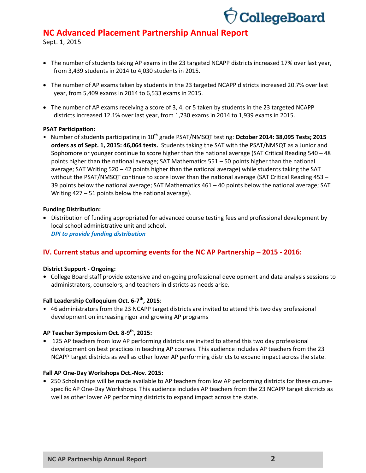

Sept. 1, 2015

- The number of students taking AP exams in the 23 targeted NCAPP districts increased 17% over last year, from 3,439 students in 2014 to 4,030 students in 2015.
- The number of AP exams taken by students in the 23 targeted NCAPP districts increased 20.7% over last year, from 5,409 exams in 2014 to 6,533 exams in 2015.
- The number of AP exams receiving a score of 3, 4, or 5 taken by students in the 23 targeted NCAPP districts increased 12.1% over last year, from 1,730 exams in 2014 to 1,939 exams in 2015.

#### **PSAT Participation:**

• Number of students participating in 10<sup>th</sup> grade PSAT/NMSQT testing: October 2014: 38,095 Tests; 2015 **orders as of Sept. 1, 2015: 46,064 tests.** Students taking the SAT with the PSAT/NMSQT as a Junior and Sophomore or younger continue to score higher than the national average (SAT Critical Reading 540 – 48 points higher than the national average; SAT Mathematics 551 – 50 points higher than the national average; SAT Writing 520 – 42 points higher than the national average) while students taking the SAT without the PSAT/NMSQT continue to score lower than the national average (SAT Critical Reading 453 – 39 points below the national average; SAT Mathematics  $461 - 40$  points below the national average; SAT Writing 427 – 51 points below the national average).

#### **Funding Distribution:**

 Distribution of funding appropriated for advanced course testing fees and professional development by local school administrative unit and school. *DPI to provide funding distribution*

### **IV. Current status and upcoming events for the NC AP Partnership – 2015 - 2016:**

#### **District Support - Ongoing:**

**•** College Board staff provide extensive and on-going professional development and data analysis sessions to administrators, counselors, and teachers in districts as needs arise.

#### **Fall Leadership Colloquium Oct. 6-7 th, 2015**:

• 46 administrators from the 23 NCAPP target districts are invited to attend this two day professional development on increasing rigor and growing AP programs

#### **AP Teacher Symposium Oct. 8-9 th, 2015:**

**•** 125 AP teachers from low AP performing districts are invited to attend this two day professional development on best practices in teaching AP courses. This audience includes AP teachers from the 23 NCAPP target districts as well as other lower AP performing districts to expand impact across the state.

#### **Fall AP One-Day Workshops Oct.-Nov. 2015:**

**•** 250 Scholarships will be made available to AP teachers from low AP performing districts for these coursespecific AP One-Day Workshops. This audience includes AP teachers from the 23 NCAPP target districts as well as other lower AP performing districts to expand impact across the state.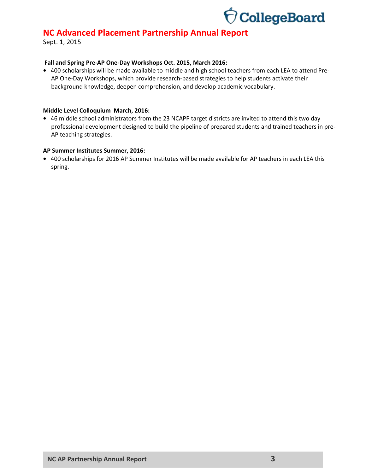

Sept. 1, 2015

#### **Fall and Spring Pre-AP One-Day Workshops Oct. 2015, March 2016:**

**•** 400 scholarships will be made available to middle and high school teachers from each LEA to attend Pre-AP One-Day Workshops, which provide research-based strategies to help students activate their background knowledge, deepen comprehension, and develop academic vocabulary.

#### **Middle Level Colloquium March, 2016:**

**•** 46 middle school administrators from the 23 NCAPP target districts are invited to attend this two day professional development designed to build the pipeline of prepared students and trained teachers in pre-AP teaching strategies.

#### **AP Summer Institutes Summer, 2016:**

**•** 400 scholarships for 2016 AP Summer Institutes will be made available for AP teachers in each LEA this spring.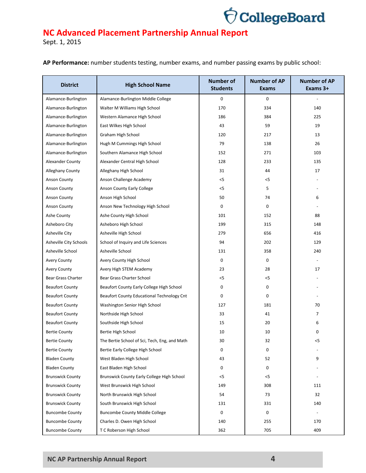

|  |  | AP Performance: number students testing, number exams, and number passing exams by public school: |  |
|--|--|---------------------------------------------------------------------------------------------------|--|
|  |  |                                                                                                   |  |

| <b>District</b>         | <b>High School Name</b>                       | <b>Number of</b><br><b>Students</b> | <b>Number of AP</b><br>Exams | <b>Number of AP</b><br>Exams 3+ |
|-------------------------|-----------------------------------------------|-------------------------------------|------------------------------|---------------------------------|
| Alamance-Burlington     | Alamance-Burlington Middle College            | 0                                   | 0                            |                                 |
| Alamance-Burlington     | Walter M Williams High School                 | 170                                 | 334                          | 140                             |
| Alamance-Burlington     | Western Alamance High School                  | 186                                 | 384                          | 225                             |
| Alamance-Burlington     | East Wilkes High School                       | 43                                  | 59                           | 19                              |
| Alamance-Burlington     | Graham High School                            | 120                                 | 217                          | 13                              |
| Alamance-Burlington     | Hugh M Cummings High School                   | 79                                  | 138                          | 26                              |
| Alamance-Burlington     | Southern Alamance High School                 | 152                                 | 271                          | 103                             |
| Alexander County        | Alexander Central High School                 | 128                                 | 233                          | 135                             |
| <b>Alleghany County</b> | Alleghany High School                         | 31                                  | 44                           | 17                              |
| <b>Anson County</b>     | Anson Challenge Academy                       | $<$ 5                               | $<$ 5                        |                                 |
| <b>Anson County</b>     | Anson County Early College                    | $<$ 5                               | 5                            |                                 |
| Anson County            | Anson High School                             | 50                                  | 74                           | 6                               |
| <b>Anson County</b>     | Anson New Technology High School              | 0                                   | 0                            |                                 |
| Ashe County             | Ashe County High School                       | 101                                 | 152                          | 88                              |
| Asheboro City           | Asheboro High School                          | 199                                 | 315                          | 148                             |
| <b>Asheville City</b>   | Asheville High School                         | 279                                 | 656                          | 416                             |
| Asheville City Schools  | School of Inquiry and Life Sciences           | 94                                  | 202                          | 129                             |
| Asheville School        | Asheville School                              | 131                                 | 358                          | 240                             |
| <b>Avery County</b>     | Avery County High School                      | 0                                   | 0                            |                                 |
| <b>Avery County</b>     | Avery High STEM Academy                       | 23                                  | 28                           | 17                              |
| Bear Grass Charter      | Bear Grass Charter School                     | $<$ 5                               | $<$ 5                        |                                 |
| <b>Beaufort County</b>  | Beaufort County Early College High School     | 0                                   | 0                            |                                 |
| <b>Beaufort County</b>  | Beaufort County Educational Technology Cnt    | 0                                   | 0                            |                                 |
| <b>Beaufort County</b>  | Washington Senior High School                 | 127                                 | 181                          | 70                              |
| <b>Beaufort County</b>  | Northside High School                         | 33                                  | 41                           | 7                               |
| <b>Beaufort County</b>  | Southside High School                         | 15                                  | 20                           | 6                               |
| <b>Bertie County</b>    | Bertie High School                            | 10                                  | 10                           | 0                               |
| <b>Bertie County</b>    | The Bertie School of Sci, Tech, Eng, and Math | 30                                  | 32                           | <5                              |
| <b>Bertie County</b>    | Bertie Early College High School              | 0                                   | 0                            |                                 |
| <b>Bladen County</b>    | West Bladen High School                       | 43                                  | 52                           | 9                               |
| <b>Bladen County</b>    | East Bladen High School                       | 0                                   | 0                            |                                 |
| <b>Brunswick County</b> | Brunswick County Early College High School    | $<$ 5                               | $<$ 5                        |                                 |
| <b>Brunswick County</b> | West Brunswick High School                    | 149                                 | 308                          | 111                             |
| <b>Brunswick County</b> | North Brunswick High School                   | 54                                  | 73                           | 32                              |
| <b>Brunswick County</b> | South Brunswick High School                   | 131                                 | 331                          | 140                             |
| <b>Buncombe County</b>  | <b>Buncombe County Middle College</b>         | 0                                   | 0                            |                                 |
| <b>Buncombe County</b>  | Charles D. Owen High School                   | 140                                 | 255                          | 170                             |
| <b>Buncombe County</b>  | T C Roberson High School                      | 362                                 | 705                          | 409                             |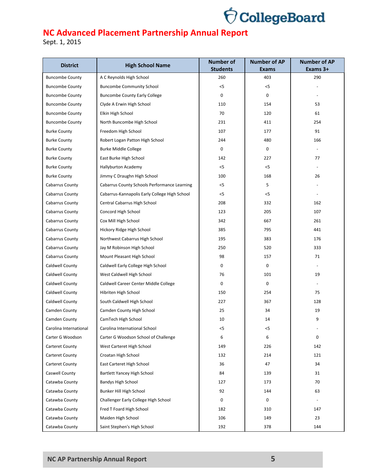

| <b>District</b>        | <b>High School Name</b>                       | <b>Number of</b><br><b>Students</b> | <b>Number of AP</b><br><b>Exams</b> | <b>Number of AP</b><br>Exams 3+ |
|------------------------|-----------------------------------------------|-------------------------------------|-------------------------------------|---------------------------------|
| <b>Buncombe County</b> | A C Reynolds High School                      | 260                                 | 403                                 | 290                             |
| <b>Buncombe County</b> | <b>Buncombe Community School</b>              | $<$ 5                               | $<$ 5                               |                                 |
| <b>Buncombe County</b> | <b>Buncombe County Early College</b>          | 0                                   | 0                                   |                                 |
| <b>Buncombe County</b> | Clyde A Erwin High School                     | 110                                 | 154                                 | 53                              |
| <b>Buncombe County</b> | Elkin High School                             | 70                                  | 120                                 | 61                              |
| <b>Buncombe County</b> | North Buncombe High School                    | 231                                 | 411                                 | 254                             |
| <b>Burke County</b>    | Freedom High School                           | 107                                 | 177                                 | 91                              |
| <b>Burke County</b>    | Robert Logan Patton High School               | 244                                 | 480                                 | 166                             |
| <b>Burke County</b>    | <b>Burke Middle College</b>                   | 0                                   | 0                                   |                                 |
| <b>Burke County</b>    | East Burke High School                        | 142                                 | 227                                 | 77                              |
| <b>Burke County</b>    | Hallyburton Academy                           | $<$ 5                               | $<$ 5                               |                                 |
| <b>Burke County</b>    | Jimmy C Draughn High School                   | 100                                 | 168                                 | 26                              |
| Cabarrus County        | Cabarrus County Schools Performance Learning  | $<$ 5                               | 5                                   |                                 |
| Cabarrus County        | Cabarrus-Kannapolis Early College High School | $<$ 5                               | $<$ 5                               |                                 |
| Cabarrus County        | Central Cabarrus High School                  | 208                                 | 332                                 | 162                             |
| Cabarrus County        | Concord High School                           | 123                                 | 205                                 | 107                             |
| Cabarrus County        | Cox Mill High School                          | 342                                 | 667                                 | 261                             |
| Cabarrus County        | Hickory Ridge High School                     | 385                                 | 795                                 | 441                             |
| Cabarrus County        | Northwest Cabarrus High School                | 195                                 | 383                                 | 176                             |
| Cabarrus County        | Jay M Robinson High School                    | 250                                 | 520                                 | 333                             |
| Cabarrus County        | Mount Pleasant High School                    | 98                                  | 157                                 | 71                              |
| Caldwell County        | Caldwell Early College High School            | 0                                   | $\mathbf 0$                         |                                 |
| Caldwell County        | West Caldwell High School                     | 76                                  | 101                                 | 19                              |
| Caldwell County        | Caldwell Career Center Middle College         | 0                                   | $\mathbf 0$                         |                                 |
| Caldwell County        | Hibriten High School                          | 150                                 | 254                                 | 75                              |
| Caldwell County        | South Caldwell High School                    | 227                                 | 367                                 | 128                             |
| Camden County          | Camden County High School                     | 25                                  | 34                                  | 19                              |
| Camden County          | CamTech High School                           | 10                                  | 14                                  | 9                               |
| Carolina International | Carolina International School                 | <5                                  | $<$ 5                               |                                 |
| Carter G Woodson       | Carter G Woodson School of Challenge          | 6                                   | 6                                   | $\mathbf 0$                     |
| <b>Carteret County</b> | West Carteret High School                     | 149                                 | 226                                 | 142                             |
| Carteret County        | Croatan High School                           | 132                                 | 214                                 | 121                             |
| Carteret County        | East Carteret High School                     | 36                                  | 47                                  | 34                              |
| Caswell County         | Bartlett Yancey High School                   | 84                                  | 139                                 | 31                              |
| Catawba County         | <b>Bandys High School</b>                     | 127                                 | 173                                 | 70                              |
| Catawba County         | Bunker Hill High School                       | 92                                  | 144                                 | 63                              |
| Catawba County         | Challenger Early College High School          | 0                                   | 0                                   |                                 |
| Catawba County         | Fred T Foard High School                      | 182                                 | 310                                 | 147                             |
| Catawba County         | Maiden High School                            | 106                                 | 149                                 | 23                              |
| Catawba County         | Saint Stephen's High School                   | 192                                 | 378                                 | 144                             |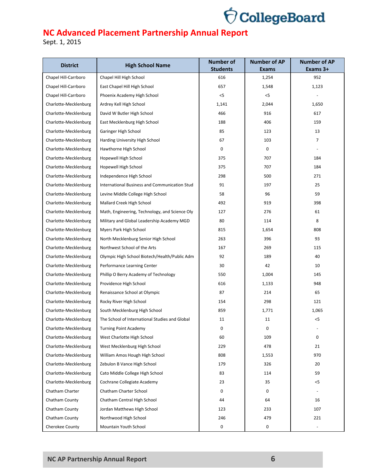

| <b>District</b>       | <b>High School Name</b>                        | <b>Number of</b><br><b>Students</b> | <b>Number of AP</b><br><b>Exams</b> | <b>Number of AP</b><br>Exams 3+ |
|-----------------------|------------------------------------------------|-------------------------------------|-------------------------------------|---------------------------------|
| Chapel Hill-Carrboro  | Chapel Hill High School                        | 616                                 | 1,254                               | 952                             |
| Chapel Hill-Carrboro  | East Chapel Hill High School                   | 657                                 | 1,548                               | 1,123                           |
| Chapel Hill-Carrboro  | Phoenix Academy High School                    | $<$ 5                               | < 5                                 |                                 |
| Charlotte-Mecklenburg | Ardrey Kell High School                        | 1,141                               | 2,044                               | 1,650                           |
| Charlotte-Mecklenburg | David W Butler High School                     | 466                                 | 916                                 | 617                             |
| Charlotte-Mecklenburg | East Mecklenburg High School                   | 188                                 | 406                                 | 159                             |
| Charlotte-Mecklenburg | Garinger High School                           | 85                                  | 123                                 | 13                              |
| Charlotte-Mecklenburg | Harding University High School                 | 67                                  | 103                                 | $\overline{7}$                  |
| Charlotte-Mecklenburg | Hawthorne High School                          | 0                                   | 0                                   |                                 |
| Charlotte-Mecklenburg | Hopewell High School                           | 375                                 | 707                                 | 184                             |
| Charlotte-Mecklenburg | Hopewell High School                           | 375                                 | 707                                 | 184                             |
| Charlotte-Mecklenburg | Independence High School                       | 298                                 | 500                                 | 271                             |
| Charlotte-Mecklenburg | International Business and Communication Stud  | 91                                  | 197                                 | 25                              |
| Charlotte-Mecklenburg |                                                |                                     |                                     |                                 |
|                       | Levine Middle College High School              | 58                                  | 96                                  | 59                              |
| Charlotte-Mecklenburg | Mallard Creek High School                      | 492                                 | 919                                 | 398                             |
| Charlotte-Mecklenburg | Math, Engineering, Technology, and Science Oly | 127                                 | 276                                 | 61                              |
| Charlotte-Mecklenburg | Military and Global Leadership Academy MGD     | 80                                  | 114                                 | 8                               |
| Charlotte-Mecklenburg | Myers Park High School                         | 815                                 | 1,654                               | 808                             |
| Charlotte-Mecklenburg | North Mecklenburg Senior High School           | 263                                 | 396                                 | 93                              |
| Charlotte-Mecklenburg | Northwest School of the Arts                   | 167                                 | 269                                 | 115                             |
| Charlotte-Mecklenburg | Olympic High School Biotech/Health/Public Adm  | 92                                  | 189                                 | 40                              |
| Charlotte-Mecklenburg | Performance Learning Center                    | 30                                  | 42                                  | 10                              |
| Charlotte-Mecklenburg | Phillip O Berry Academy of Technology          | 550                                 | 1,004                               | 145                             |
| Charlotte-Mecklenburg | Providence High School                         | 616                                 | 1,133                               | 948                             |
| Charlotte-Mecklenburg | Renaissance School at Olympic                  | 87                                  | 214                                 | 65                              |
| Charlotte-Mecklenburg | Rocky River High School                        | 154                                 | 298                                 | 121                             |
| Charlotte-Mecklenburg | South Mecklenburg High School                  | 859                                 | 1,771                               | 1,065                           |
| Charlotte-Mecklenburg | The School of International Studies and Global | 11                                  | 11                                  | $<$ 5                           |
| Charlotte-Mecklenburg | <b>Turning Point Academy</b>                   | 0                                   | 0                                   |                                 |
| Charlotte-Mecklenburg | West Charlotte High School                     | 60                                  | 109                                 | $\mathbf 0$                     |
| Charlotte-Mecklenburg | West Mecklenburg High School                   | 229                                 | 478                                 | 21                              |
| Charlotte-Mecklenburg | William Amos Hough High School                 | 808                                 | 1,553                               | 970                             |
| Charlotte-Mecklenburg | Zebulon B Vance High School                    | 179                                 | 326                                 | 20                              |
| Charlotte-Mecklenburg | Cato Middle College High School                | 83                                  | 114                                 | 59                              |
| Charlotte-Mecklenburg | Cochrane Collegiate Academy                    | 23                                  | 35                                  | $<$ 5                           |
| Chatham Charter       | Chatham Charter School                         | 0                                   | 0                                   |                                 |
| Chatham County        | Chatham Central High School                    | 44                                  | 64                                  | 16                              |
| Chatham County        | Jordan Matthews High School                    | 123                                 | 233                                 | 107                             |
| Chatham County        | Northwood High School                          | 246                                 | 479                                 | 221                             |
| Cherokee County       | Mountain Youth School                          | 0                                   | 0                                   |                                 |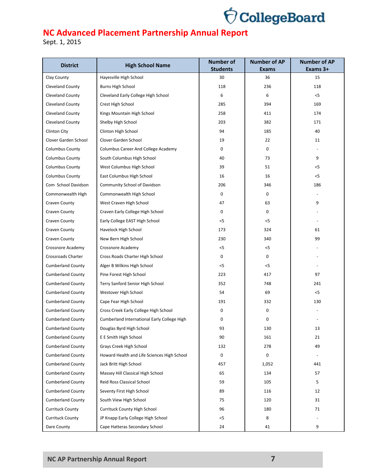

| <b>District</b>                | <b>High School Name</b>                     | <b>Number of</b><br><b>Students</b> | <b>Number of AP</b><br><b>Exams</b> | <b>Number of AP</b><br>Exams 3+ |
|--------------------------------|---------------------------------------------|-------------------------------------|-------------------------------------|---------------------------------|
| Clay County                    | Hayesville High School                      | 30                                  | 36                                  | 15                              |
| Cleveland County               | <b>Burns High School</b>                    | 118                                 | 236                                 | 118                             |
| Cleveland County               | Cleveland Early College High School         | 6                                   | 6                                   | $<$ 5                           |
| Cleveland County               | Crest High School                           | 285                                 | 394                                 | 169                             |
| Cleveland County               | Kings Mountain High School                  | 258                                 | 411                                 | 174                             |
| Cleveland County               | Shelby High School                          | 203                                 | 382                                 | 171                             |
| Clinton City                   | Clinton High School                         | 94                                  | 185                                 | 40                              |
| Clover Garden School           | Clover Garden School                        | 19                                  | 22                                  | 11                              |
| <b>Columbus County</b>         | Columbus Career And College Academy         | 0                                   | 0                                   |                                 |
| <b>Columbus County</b>         | South Columbus High School                  | 40                                  | 73                                  | 9                               |
| <b>Columbus County</b>         | West Columbus High School                   | 39                                  | 51                                  | $<$ 5                           |
| <b>Columbus County</b>         | East Columbus High School                   | 16                                  | 16                                  | $<$ 5                           |
| Com School Davidson            | Community School of Davidson                | 206                                 | 346                                 | 186                             |
| Commonwealth High              | Commonwealth High School                    | 0                                   | 0                                   |                                 |
|                                |                                             | 47                                  | 63                                  | 9                               |
| Craven County<br>Craven County | West Craven High School                     |                                     |                                     |                                 |
|                                | Craven Early College High School            | 0                                   | 0                                   |                                 |
| Craven County                  | Early College EAST High School              | $<$ 5                               | $<$ 5                               |                                 |
| Craven County                  | Havelock High School                        | 173                                 | 324                                 | 61                              |
| Craven County                  | New Bern High School                        | 230                                 | 340                                 | 99                              |
| Crossnore Academy              | Crossnore Academy                           | $<$ 5                               | $<$ 5                               |                                 |
| Crossroads Charter             | Cross Roads Charter High School             | 0                                   | 0                                   |                                 |
| <b>Cumberland County</b>       | Alger B Wilkins High School                 | $<$ 5                               | $<$ 5                               |                                 |
| <b>Cumberland County</b>       | Pine Forest High School                     | 223                                 | 417                                 | 97                              |
| <b>Cumberland County</b>       | Terry Sanford Senior High School            | 352                                 | 748                                 | 241                             |
| <b>Cumberland County</b>       | Westover High School                        | 54                                  | 69                                  | $<$ 5                           |
| <b>Cumberland County</b>       | Cape Fear High School                       | 191                                 | 332                                 | 130                             |
| <b>Cumberland County</b>       | Cross Creek Early College High School       | 0                                   | 0                                   |                                 |
| <b>Cumberland County</b>       | Cumberland International Early College High | 0                                   | 0                                   |                                 |
| <b>Cumberland County</b>       | Douglas Byrd High School                    | 93                                  | 130                                 | 13                              |
| <b>Cumberland County</b>       | E E Smith High School                       | 90                                  | 161                                 | 21                              |
| <b>Cumberland County</b>       | Grays Creek High School                     | 132                                 | 278                                 | 49                              |
| <b>Cumberland County</b>       | Howard Health and Life Sciences High School | 0                                   | 0                                   | $\overline{\phantom{a}}$        |
| <b>Cumberland County</b>       | Jack Britt High School                      | 457                                 | 1,052                               | 441                             |
| <b>Cumberland County</b>       | Massey Hill Classical High School           | 65                                  | 134                                 | 57                              |
| <b>Cumberland County</b>       | Reid Ross Classical School                  | 59                                  | 105                                 | 5                               |
| <b>Cumberland County</b>       | Seventy First High School                   | 89                                  | 116                                 | 12                              |
| <b>Cumberland County</b>       | South View High School                      | 75                                  | 120                                 | 31                              |
| <b>Currituck County</b>        | <b>Currituck County High School</b>         | 96                                  | 180                                 | 71                              |
| <b>Currituck County</b>        | JP Knapp Early College High School          | $<$ 5                               | 8                                   |                                 |
| Dare County                    | Cape Hatteras Secondary School              | 24                                  | 41                                  | 9                               |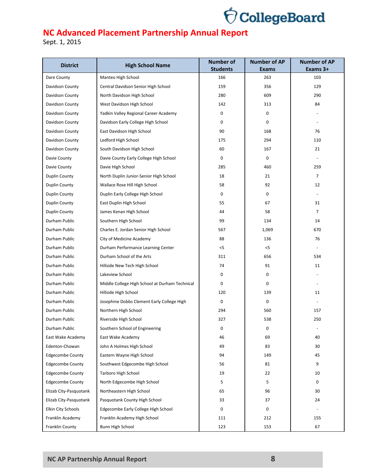

| <b>District</b>         | <b>High School Name</b>                        | <b>Number of</b>       | <b>Number of AP</b> | <b>Number of AP</b> |
|-------------------------|------------------------------------------------|------------------------|---------------------|---------------------|
| Dare County             | Manteo High School                             | <b>Students</b><br>166 | <b>Exams</b><br>263 | Exams 3+<br>103     |
|                         |                                                | 159                    |                     | 129                 |
| Davidson County         | Central Davidson Senior High School            |                        | 356                 |                     |
| Davidson County         | North Davidson High School                     | 280                    | 609                 | 290                 |
| Davidson County         | West Davidson High School                      | 142                    | 313                 | 84                  |
| Davidson County         | Yadkin Valley Regional Career Academy          | 0                      | 0                   |                     |
| Davidson County         | Davidson Early College High School             | 0                      | 0                   |                     |
| Davidson County         | East Davidson High School                      | 90                     | 168                 | 76                  |
| Davidson County         | Ledford High School                            | 175                    | 294                 | 110                 |
| Davidson County         | South Davidson High School                     | 60                     | 167                 | 21                  |
| Davie County            | Davie County Early College High School         | 0                      | 0                   |                     |
| Davie County            | Davie High School                              | 285                    | 460                 | 259                 |
| Duplin County           | North Duplin Junior-Senior High School         | 18                     | 21                  | $\overline{7}$      |
| Duplin County           | Wallace Rose Hill High School                  | 58                     | 92                  | 12                  |
| Duplin County           | Duplin Early College High School               | 0                      | 0                   |                     |
| Duplin County           | East Duplin High School                        | 55                     | 67                  | 31                  |
| Duplin County           | James Kenan High School                        | 44                     | 58                  | $\overline{7}$      |
| Durham Public           | Southern High School                           | 99                     | 134                 | 14                  |
| Durham Public           | Charles E. Jordan Senior High School           | 567                    | 1,069               | 670                 |
| Durham Public           | City of Medicine Academy                       | 88                     | 136                 | 76                  |
| Durham Public           | Durham Performance Learning Center             | $<$ 5                  | $<$ 5               |                     |
| Durham Public           | Durham School of the Arts                      | 311                    | 656                 | 534                 |
| Durham Public           | Hillside New Tech High School                  | 74                     | 91                  | 11                  |
| Durham Public           | Lakeview School                                | 0                      | 0                   |                     |
| Durham Public           | Middle College High School at Durham Technical | 0                      | 0                   |                     |
| Durham Public           | Hillside High School                           | 120                    | 139                 | 11                  |
| Durham Public           | Josephine Dobbs Clement Early College High     | 0                      | 0                   |                     |
| Durham Public           | Northern High School                           | 294                    | 560                 | 157                 |
| Durham Public           | Riverside High School                          | 327                    | 538                 | 250                 |
| Durham Public           | Southern School of Engineering                 | 0                      | 0                   |                     |
| East Wake Academy       | East Wake Academy                              | 46                     | 69                  | 40                  |
| Edenton-Chowan          | John A Holmes High School                      | 49                     | 83                  | 30                  |
| <b>Edgecombe County</b> | Eastern Wayne High School                      | 94                     | 149                 | 45                  |
| <b>Edgecombe County</b> | Southwest Edgecombe High School                | 56                     | 81                  | 9                   |
| <b>Edgecombe County</b> | Tarboro High School                            | 19                     | 22                  | 10                  |
| <b>Edgecombe County</b> | North Edgecombe High School                    | 5                      | 5                   | 0                   |
| Elizab City-Pasquotank  | Northeastern High School                       | 65                     | 96                  | 30                  |
| Elizab City-Pasquotank  | Pasquotank County High School                  | 33                     | 37                  | 24                  |
| Elkin City Schools      | Edgecombe Early College High School            | 0                      | 0                   |                     |
| Franklin Academy        | Franklin Academy High School                   | 111                    | 212                 | 155                 |
| Franklin County         | Bunn High School                               | 123                    | 153                 | 67                  |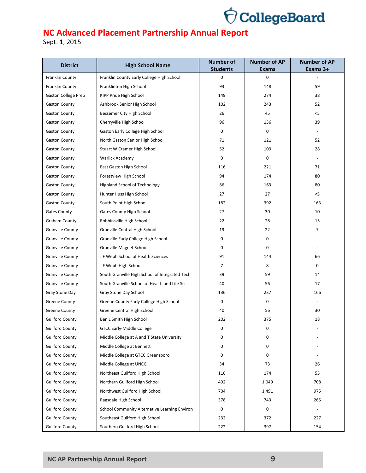

| <b>District</b>         | <b>High School Name</b>                        | <b>Number of</b><br><b>Students</b> | <b>Number of AP</b><br><b>Exams</b> | <b>Number of AP</b><br>Exams 3+ |
|-------------------------|------------------------------------------------|-------------------------------------|-------------------------------------|---------------------------------|
| Franklin County         | Franklin County Early College High School      | 0                                   | 0                                   |                                 |
| Franklin County         | Franklinton High School                        | 93                                  | 148                                 | 59                              |
| Gaston College Prep     | KIPP Pride High School                         | 149                                 | 274                                 | 38                              |
| <b>Gaston County</b>    | Ashbrook Senior High School                    | 102                                 | 243                                 | 52                              |
| <b>Gaston County</b>    | Bessemer City High School                      | 26                                  | 45                                  | $<$ 5                           |
| <b>Gaston County</b>    | Cherryville High School                        | 96                                  | 136                                 | 39                              |
| <b>Gaston County</b>    | Gaston Early College High School               | 0                                   | 0                                   |                                 |
| <b>Gaston County</b>    | North Gaston Senior High School                | 71                                  | 121                                 | 52                              |
| <b>Gaston County</b>    | Stuart W Cramer High School                    | 52                                  | 109                                 | 28                              |
| <b>Gaston County</b>    | Warlick Academy                                | 0                                   | 0                                   |                                 |
| <b>Gaston County</b>    | East Gaston High School                        | 116                                 | 221                                 | 71                              |
| <b>Gaston County</b>    | Forestview High School                         | 94                                  | 174                                 | 80                              |
| <b>Gaston County</b>    | Highland School of Technology                  | 86                                  | 163                                 | 80                              |
| <b>Gaston County</b>    | Hunter Huss High School                        | 27                                  | 27                                  | $<$ 5                           |
| <b>Gaston County</b>    | South Point High School                        | 182                                 | 392                                 | 163                             |
| <b>Gates County</b>     | <b>Gates County High School</b>                | 27                                  | 30                                  | 10                              |
| <b>Graham County</b>    | Robbinsville High School                       | 22                                  | 28                                  | 15                              |
| <b>Granville County</b> | Granville Central High School                  | 19                                  | 22                                  | 7                               |
| <b>Granville County</b> | Granville Early College High School            | 0                                   | 0                                   |                                 |
| <b>Granville County</b> | Granville Magnet School                        | 0                                   | 0                                   |                                 |
| <b>Granville County</b> | J F Webb School of Health Sciences             | 91                                  | 144                                 | 66                              |
| <b>Granville County</b> | J F Webb High School                           | 7                                   | 8                                   | 0                               |
| <b>Granville County</b> | South Granville High School of Integrated Tech | 39                                  | 59                                  | 14                              |
| <b>Granville County</b> | South Granville School of Health and Life Sci  | 40                                  | 56                                  | 17                              |
| Gray Stone Day          | Gray Stone Day School                          | 136                                 | 237                                 | 166                             |
| <b>Greene County</b>    | Greene County Early College High School        | 0                                   | 0                                   |                                 |
| <b>Greene County</b>    | Greene Central High School                     | 40                                  | 56                                  | 30                              |
| <b>Guilford County</b>  | Ben L Smith High School                        | 202                                 | 375                                 | 18                              |
| <b>Guilford County</b>  | <b>GTCC Early-Middle College</b>               | 0                                   | 0                                   |                                 |
| <b>Guilford County</b>  | Middle College at A and T State University     | 0                                   | 0                                   |                                 |
| <b>Guilford County</b>  | Middle College at Bennett                      | 0                                   | 0                                   |                                 |
| <b>Guilford County</b>  | Middle College at GTCC Greensboro              | 0                                   | 0                                   |                                 |
| <b>Guilford County</b>  | Middle College at UNCG                         | 34                                  | 73                                  | 26                              |
| <b>Guilford County</b>  | Northeast Guilford High School                 | 116                                 | 174                                 | 55                              |
| <b>Guilford County</b>  | Northern Guilford High School                  | 492                                 | 1,049                               | 708                             |
| <b>Guilford County</b>  | Northwest Guilford High School                 | 704                                 | 1,491                               | 975                             |
| <b>Guilford County</b>  | Ragsdale High School                           | 378                                 | 743                                 | 265                             |
| <b>Guilford County</b>  | School Community Alternative Learning Environ  | 0                                   | 0                                   |                                 |
| <b>Guilford County</b>  | Southeast Guilford High School                 | 232                                 | 372                                 | 227                             |
| <b>Guilford County</b>  | Southern Guilford High School                  | 222                                 | 397                                 | 154                             |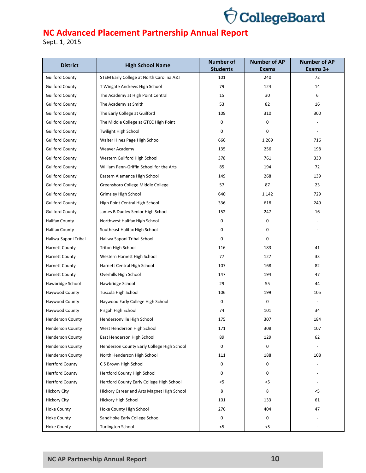

| <b>District</b>         | <b>High School Name</b>                    | <b>Number of</b><br><b>Students</b> | <b>Number of AP</b> | <b>Number of AP</b><br>Exams 3+ |
|-------------------------|--------------------------------------------|-------------------------------------|---------------------|---------------------------------|
| <b>Guilford County</b>  | STEM Early College at North Carolina A&T   | 101                                 | <b>Exams</b><br>240 | 72                              |
| <b>Guilford County</b>  | T Wingate Andrews High School              | 79                                  | 124                 | 14                              |
| <b>Guilford County</b>  | The Academy at High Point Central          | 15                                  | 30                  | 6                               |
| <b>Guilford County</b>  | The Academy at Smith                       | 53                                  | 82                  | 16                              |
| <b>Guilford County</b>  | The Early College at Guilford              | 109                                 | 310                 | 300                             |
| <b>Guilford County</b>  | The Middle College at GTCC High Point      | 0                                   | 0                   |                                 |
| <b>Guilford County</b>  | Twilight High School                       | 0                                   | 0                   |                                 |
| <b>Guilford County</b>  | Walter Hines Page High School              | 666                                 | 1,269               | 716                             |
| <b>Guilford County</b>  | Weaver Academy                             | 135                                 | 256                 | 198                             |
| <b>Guilford County</b>  | Western Guilford High School               | 378                                 | 761                 | 330                             |
| <b>Guilford County</b>  | William Penn-Griffin School for the Arts   | 85                                  | 194                 | 72                              |
| <b>Guilford County</b>  | Eastern Alamance High School               | 149                                 | 268                 | 139                             |
| <b>Guilford County</b>  | Greensboro College Middle College          | 57                                  | 87                  | 23                              |
|                         | Grimsley High School                       | 640                                 |                     | 729                             |
| <b>Guilford County</b>  |                                            |                                     | 1,142               |                                 |
| <b>Guilford County</b>  | High Point Central High School             | 336                                 | 618                 | 249                             |
| <b>Guilford County</b>  | James B Dudley Senior High School          | 152                                 | 247                 | 16                              |
| <b>Halifax County</b>   | Northwest Halifax High School              | 0                                   | 0                   |                                 |
| <b>Halifax County</b>   | Southeast Halifax High School              | 0                                   | 0                   |                                 |
| Haliwa-Saponi Tribal    | Haliwa Saponi Tribal School                | 0                                   | $\mathbf 0$         |                                 |
| <b>Harnett County</b>   | Triton High School                         | 116                                 | 183                 | 41                              |
| <b>Harnett County</b>   | Western Harnett High School                | 77                                  | 127                 | 33                              |
| <b>Harnett County</b>   | Harnett Central High School                | 107                                 | 168                 | 82                              |
| <b>Harnett County</b>   | Overhills High School                      | 147                                 | 194                 | 47                              |
| Hawbridge School        | Hawbridge School                           | 29                                  | 55                  | 44                              |
| Haywood County          | Tuscola High School                        | 106                                 | 199                 | 105                             |
| Haywood County          | Haywood Early College High School          | 0                                   | $\mathbf 0$         |                                 |
| Haywood County          | Pisgah High School                         | 74                                  | 101                 | 34                              |
| <b>Henderson County</b> | Hendersonville High School                 | 175                                 | 307                 | 184                             |
| <b>Henderson County</b> | West Henderson High School                 | 171                                 | 308                 | 107                             |
| <b>Henderson County</b> | East Henderson High School                 | 89                                  | 129                 | 62                              |
| <b>Henderson County</b> | Henderson County Early College High School | 0                                   | 0                   |                                 |
| <b>Henderson County</b> | North Henderson High School                | 111                                 | 188                 | 108                             |
| <b>Hertford County</b>  | C S Brown High School                      | 0                                   | 0                   |                                 |
| <b>Hertford County</b>  | Hertford County High School                | 0                                   | $\mathbf 0$         |                                 |
| <b>Hertford County</b>  | Hertford County Early College High School  | <5                                  | $<$ 5               |                                 |
| <b>Hickory City</b>     | Hickory Career and Arts Magnet High School | 8                                   | 8                   | <5                              |
| <b>Hickory City</b>     | Hickory High School                        | 101                                 | 133                 | 61                              |
| <b>Hoke County</b>      | Hoke County High School                    | 276                                 | 404                 | 47                              |
| <b>Hoke County</b>      | SandHoke Early College School              | 0                                   | 0                   |                                 |
| <b>Hoke County</b>      | <b>Turlington School</b>                   | $<$ 5                               | $<$ 5               |                                 |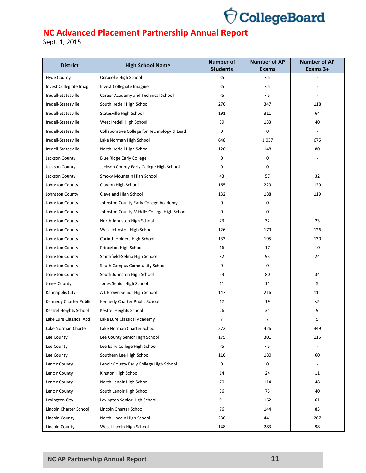

| <b>District</b>         | <b>High School Name</b>                     | <b>Number of</b><br><b>Students</b> | <b>Number of AP</b><br><b>Exams</b> | <b>Number of AP</b><br>Exams 3+ |
|-------------------------|---------------------------------------------|-------------------------------------|-------------------------------------|---------------------------------|
| <b>Hyde County</b>      | Ocracoke High School                        | $<$ 5                               | $<$ 5                               |                                 |
| Invest Collegiate Imagi | Invest Collegiate Imagine                   | $<$ 5                               | $<$ 5                               |                                 |
| Iredell-Statesville     | Career Academy and Technical School         | $<$ 5                               | $<$ 5                               |                                 |
| Iredell-Statesville     | South Iredell High School                   | 276                                 | 347                                 | 118                             |
| Iredell-Statesville     | Statesville High School                     | 191                                 | 311                                 | 64                              |
| Iredell-Statesville     | West Iredell High School                    | 89                                  | 133                                 | 40                              |
| Iredell-Statesville     | Collaborative College for Technology & Lead | 0                                   | 0                                   |                                 |
| Iredell-Statesville     | Lake Norman High School                     | 648                                 | 1,057                               | 675                             |
| Iredell-Statesville     | North Iredell High School                   | 120                                 | 148                                 | 80                              |
| Jackson County          | <b>Blue Ridge Early College</b>             | 0                                   | 0                                   |                                 |
| Jackson County          | Jackson County Early College High School    | 0                                   | $\mathbf 0$                         |                                 |
| Jackson County          | Smoky Mountain High School                  | 43                                  | 57                                  | 32                              |
| Johnston County         | Clayton High School                         | 165                                 | 229                                 | 129                             |
| Johnston County         | Cleveland High School                       | 132                                 | 188                                 | 119                             |
| Johnston County         | Johnston County Early College Academy       | 0                                   | 0                                   |                                 |
| Johnston County         | Johnston County Middle College High School  | 0                                   | $\mathbf 0$                         |                                 |
| Johnston County         | North Johnston High School                  | 23                                  | 32                                  | 23                              |
| Johnston County         | West Johnston High School                   | 126                                 | 179                                 | 126                             |
| Johnston County         | Corinth Holders High School                 | 133                                 | 195                                 | 130                             |
| Johnston County         | Princeton High School                       | 16                                  | 17                                  | 10                              |
| Johnston County         | Smithfield-Selma High School                | 82                                  | 93                                  | 24                              |
| Johnston County         | South Campus Community School               | 0                                   | $\mathbf 0$                         |                                 |
| Johnston County         | South Johnston High School                  | 53                                  | 80                                  | 34                              |
| Jones County            | Jones Senior High School                    | 11                                  | 11                                  | 5                               |
| Kannapolis City         | A L Brown Senior High School                | 147                                 | 216                                 | 111                             |
| Kennedy Charter Public  | Kennedy Charter Public School               | 17                                  | 19                                  | $<$ 5                           |
| Kestrel Heights School  | Kestrel Heights School                      | 26                                  | 34                                  | 9                               |
| Lake Lure Classical Acd | Lake Lure Classical Academy                 | $\overline{7}$                      | 7                                   | 5                               |
| Lake Norman Charter     | Lake Norman Charter School                  | 272                                 | 426                                 | 349                             |
| Lee County              | Lee County Senior High School               | 175                                 | 301                                 | 115                             |
| Lee County              | Lee Early College High School               | $<$ 5                               | $< 5$                               |                                 |
| Lee County              | Southern Lee High School                    | 116                                 | 180                                 | 60                              |
| Lenoir County           | Lenoir County Early College High School     | 0                                   | 0                                   |                                 |
| Lenoir County           | Kinston High School                         | 14                                  | 24                                  | 11                              |
| Lenoir County           | North Lenoir High School                    | 70                                  | 114                                 | 48                              |
| Lenoir County           | South Lenoir High School                    | 36                                  | 73                                  | 40                              |
| Lexington City          | Lexington Senior High School                | 91                                  | 162                                 | 61                              |
| Lincoln Charter School  | Lincoln Charter School                      | 76                                  | 144                                 | 83                              |
| <b>Lincoln County</b>   | North Lincoln High School                   | 236                                 | 441                                 | 287                             |
| <b>Lincoln County</b>   | West Lincoln High School                    | 148                                 | 283                                 | 98                              |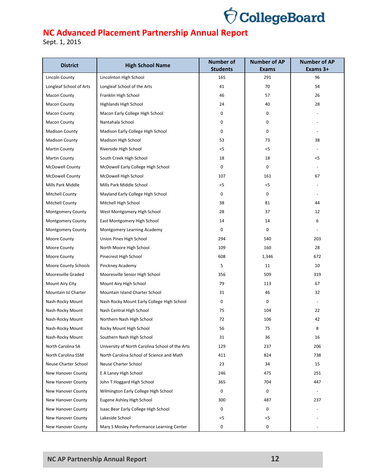

| <b>District</b>         | <b>High School Name</b>                         | <b>Number of</b><br><b>Students</b> | <b>Number of AP</b><br><b>Exams</b> | <b>Number of AP</b><br>Exams 3+ |
|-------------------------|-------------------------------------------------|-------------------------------------|-------------------------------------|---------------------------------|
| <b>Lincoln County</b>   | Lincolnton High School                          | 165                                 | 291                                 | 96                              |
| Longleaf School of Arts | Longleaf School of the Arts                     | 41                                  | 70                                  | 54                              |
| <b>Macon County</b>     | Franklin High School                            | 46                                  | 57                                  | 26                              |
| <b>Macon County</b>     | Highlands High School                           | 24                                  | 40                                  | 28                              |
| <b>Macon County</b>     | Macon Early College High School                 | 0                                   | 0                                   |                                 |
| <b>Macon County</b>     | Nantahala School                                | 0                                   | 0                                   |                                 |
| <b>Madison County</b>   | Madison Early College High School               | 0                                   | 0                                   |                                 |
| <b>Madison County</b>   | Madison High School                             | 53                                  | 73                                  | 38                              |
| <b>Martin County</b>    | Riverside High School                           | $<$ 5                               | $<$ 5                               |                                 |
| <b>Martin County</b>    | South Creek High School                         | 18                                  | 18                                  | <5                              |
| <b>McDowell County</b>  | McDowell Early College High School              | 0                                   | 0                                   |                                 |
| <b>McDowell County</b>  | McDowell High School                            | 107                                 | 161                                 | 67                              |
| Mills Park Middle       | Mills Park Middle School                        | $<$ 5                               | $<$ 5                               |                                 |
| <b>Mitchell County</b>  | Mayland Early College High School               | 0                                   | $\mathbf 0$                         |                                 |
| <b>Mitchell County</b>  | Mitchell High School                            | 38                                  | 81                                  | 44                              |
| Montgomery County       | West Montgomery High School                     | 28                                  | 37                                  | 12                              |
| Montgomery County       | East Montgomery High School                     | 14                                  | 14                                  | 6                               |
| Montgomery County       | Montgomery Learning Academy                     | 0                                   | $\mathbf 0$                         |                                 |
| Moore County            | Union Pines High School                         | 294                                 | 540                                 | 203                             |
| Moore County            | North Moore High School                         | 109                                 | 160                                 | 28                              |
| Moore County            | Pinecrest High School                           | 608                                 | 1,346                               | 672                             |
| Moore County Schools    | Pinckney Academy                                | 5                                   | 11                                  | 10                              |
| Mooresville Graded      | Mooresville Senior High School                  | 356                                 | 509                                 | 319                             |
| Mount Airy City         | Mount Airy High School                          | 79                                  | 113                                 | 67                              |
| Mountain Isl Charter    | Mountain Island Charter School                  | 31                                  | 46                                  | 32                              |
| Nash-Rocky Mount        | Nash Rocky Mount Early College High School      | 0                                   | $\mathbf 0$                         |                                 |
| Nash-Rocky Mount        | Nash Central High School                        | 75                                  | 104                                 | 22                              |
| Nash-Rocky Mount        | Northern Nash High School                       | 72                                  | 106                                 | 42                              |
| Nash-Rocky Mount        | Rocky Mount High School                         | 56                                  | 75                                  | 8                               |
| Nash-Rocky Mount        | Southern Nash High School                       | 31                                  | 36                                  | 16                              |
| North Carolina SA       | University of North Carolina School of the Arts | 129                                 | 237                                 | 206                             |
| North Carolina SSM      | North Carolina School of Science and Math       | 411                                 | 824                                 | 738                             |
| Neuse Charter School    | Neuse Charter School                            | 23                                  | 34                                  | 15                              |
| New Hanover County      | E A Laney High School                           | 246                                 | 475                                 | 251                             |
| New Hanover County      | John T Hoggard High School                      | 365                                 | 704                                 | 447                             |
| New Hanover County      | Wilmington Early College High School            | 0                                   | 0                                   |                                 |
| New Hanover County      | Eugene Ashley High School                       | 300                                 | 487                                 | 237                             |
| New Hanover County      | Isaac Bear Early College High School            | 0                                   | $\mathbf 0$                         |                                 |
| New Hanover County      | Lakeside School                                 | $<$ 5                               | $<$ 5                               |                                 |
| New Hanover County      | Mary S Mosley Performance Learning Center       | 0                                   | 0                                   |                                 |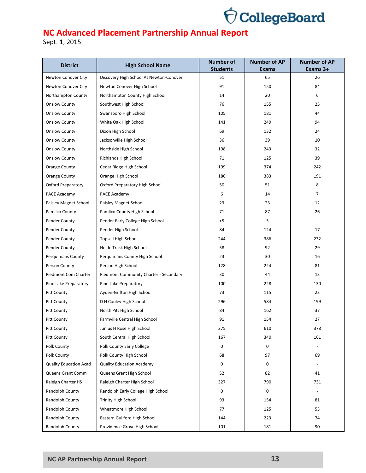

| <b>District</b>                          | <b>High School Name</b>                                | <b>Number of</b><br><b>Students</b> | <b>Number of AP</b><br><b>Exams</b> | <b>Number of AP</b><br>Exams 3+ |
|------------------------------------------|--------------------------------------------------------|-------------------------------------|-------------------------------------|---------------------------------|
| Newton Conover City                      | Discovery High School At Newton-Conover                | 51                                  | 65                                  | 26                              |
| Newton Conover City                      | Newton Conover High School                             | 91                                  | 150                                 | 84                              |
| Northampton County                       | Northampton County High School                         | 14                                  | 20                                  | 6                               |
| <b>Onslow County</b>                     | Southwest High School                                  | 76                                  | 155                                 | 25                              |
| <b>Onslow County</b>                     | Swansboro High School                                  | 105                                 | 181                                 | 44                              |
| <b>Onslow County</b>                     | White Oak High School                                  | 141                                 | 249                                 | 94                              |
| <b>Onslow County</b>                     | Dixon High School                                      | 69                                  | 132                                 | 24                              |
| <b>Onslow County</b>                     | Jacksonville High School                               | 36                                  | 39                                  | 10                              |
| <b>Onslow County</b>                     | Northside High School                                  | 198                                 | 243                                 | 32                              |
| <b>Onslow County</b>                     | Richlands High School                                  | 71                                  | 125                                 | 39                              |
| Orange County                            | Cedar Ridge High School                                | 199                                 | 374                                 | 242                             |
| Orange County                            | Orange High School                                     | 186                                 | 383                                 | 191                             |
| <b>Oxford Preparatory</b>                | Oxford Preparatory High School                         | 50                                  | 51                                  | 8                               |
| PACE Academy                             | PACE Academy                                           | 6                                   | 14                                  | $\overline{7}$                  |
| Paisley Magnet School                    | Paisley Magnet School                                  | 23                                  | 23                                  | 12                              |
| Pamlico County                           | Pamlico County High School                             | 71                                  | 87                                  | 26                              |
| Pender County                            | Pender Early College High School                       | $<$ 5                               | 5                                   |                                 |
| Pender County                            | Pender High School                                     | 84                                  | 124                                 | 17                              |
| Pender County                            | <b>Topsail High School</b>                             | 244                                 | 386                                 | 232                             |
| Pender County                            | Heide Trask High School                                | 58                                  | 92                                  | 29                              |
| <b>Perquimans County</b>                 | Perquimans County High School                          | 23                                  | 30                                  | 16                              |
| Person County                            | Person High School                                     | 128                                 | 224                                 | 81                              |
| Piedmont Com Charter                     | Piedmont Community Charter - Secondary                 | 30                                  | 44                                  | 13                              |
| Pine Lake Preparatory                    | Pine Lake Preparatory                                  | 100                                 | 228                                 | 130                             |
|                                          | Ayden-Grifton High School                              | 73                                  | 115                                 | 23                              |
| <b>Pitt County</b>                       | D H Conley High School                                 | 296                                 | 584                                 | 199                             |
| <b>Pitt County</b><br><b>Pitt County</b> |                                                        | 84                                  | 162                                 | 37                              |
|                                          | North Pitt High School                                 |                                     |                                     |                                 |
| <b>Pitt County</b>                       | Farmville Central High School                          | 91                                  | 154                                 | 27                              |
| <b>Pitt County</b>                       | Junius H Rose High School                              | 275                                 | 610<br>340                          | 378<br>161                      |
| <b>Pitt County</b>                       | South Central High School<br>Polk County Early College | 167                                 |                                     |                                 |
| Polk County                              |                                                        | 0                                   | 0                                   |                                 |
| Polk County                              | Polk County High School                                | 68                                  | 97                                  | 69                              |
| <b>Quality Education Acad</b>            | <b>Quality Education Academy</b>                       | 0                                   | 0                                   |                                 |
| Queens Grant Comm                        | Queens Grant High School                               | 52                                  | 82                                  | 41                              |
| Raleigh Charter HS                       | Raleigh Charter High School                            | 327                                 | 790                                 | 731                             |
| Randolph County                          | Randolph Early College High School                     | 0                                   | 0                                   |                                 |
| Randolph County                          | <b>Trinity High School</b>                             | 93                                  | 154                                 | 81                              |
| Randolph County                          | Wheatmore High School                                  | 77                                  | 125                                 | 53                              |
| Randolph County                          | Eastern Guilford High School                           | 144                                 | 223                                 | 74                              |
| Randolph County                          | Providence Grove High School                           | 101                                 | 181                                 | 90                              |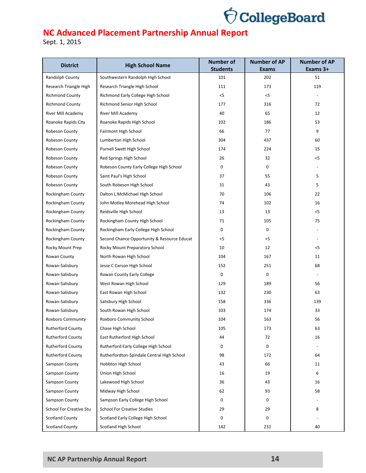

| <b>District</b>                | <b>High School Name</b>                     | <b>Number of</b><br><b>Students</b> | <b>Number of AP</b><br><b>Exams</b> | <b>Number of AP</b><br>Exams 3+ |
|--------------------------------|---------------------------------------------|-------------------------------------|-------------------------------------|---------------------------------|
| Randolph County                | Southwestern Randolph High School           | 101                                 | 202                                 | 51                              |
| Research Triangle High         | Research Triangle High School               | 111                                 | 173                                 | 119                             |
| <b>Richmond County</b>         | Richmond Early College High School          | $<$ 5                               | $<$ 5                               |                                 |
| <b>Richmond County</b>         | Richmond Senior High School                 | 177                                 | 316                                 | 72                              |
| River Mill Academy             | River Mill Academy                          | 40                                  | 65                                  | 12                              |
| Roanoke Rapids City            | Roanoke Rapids High School                  | 102                                 | 186                                 | 53                              |
| Robeson County                 | Fairmont High School                        | 66                                  | 77                                  | 9                               |
| Robeson County                 | Lumberton High School                       | 304                                 | 437                                 | 60                              |
| Robeson County                 | Purnell Swett High School                   | 174                                 | 224                                 | 15                              |
| Robeson County                 | Red Springs High School                     | 26                                  | 32                                  | $<$ 5                           |
| Robeson County                 | Robeson County Early College High School    | 0                                   | 0                                   |                                 |
| Robeson County                 | Saint Paul's High School                    | 37                                  | 55                                  | 5                               |
|                                | South Robeson High School                   | 31                                  | 43                                  | 5                               |
| Robeson County                 | Dalton L McMichael High School              | 70                                  | 106                                 | 22                              |
| Rockingham County              |                                             |                                     |                                     |                                 |
| Rockingham County              | John Motley Morehead High School            | 74                                  | 102                                 | 16                              |
| Rockingham County              | Reidsville High School                      | 13                                  | 13                                  | $<$ 5                           |
| Rockingham County              | Rockingham County High School               | 71                                  | 105                                 | 75                              |
| Rockingham County              | Rockingham Early College High School        | 0                                   | $\mathbf 0$                         |                                 |
| Rockingham County              | Second Chance Opportunity & Resource Educat | $<$ 5                               | $<$ 5                               |                                 |
| Rocky Mount Prep               | Rocky Mount Preparatory School              | 10                                  | 12                                  | $<$ 5                           |
| Rowan County                   | North Rowan High School                     | 104                                 | 167                                 | 11                              |
| Rowan-Salisbury                | Jesse C Carson High School                  | 152                                 | 251                                 | 68                              |
| Rowan-Salisbury                | Rowan County Early College                  | 0                                   | $\mathbf 0$                         |                                 |
| Rowan-Salisbury                | West Rowan High School                      | 129                                 | 189                                 | 56                              |
| Rowan-Salisbury                | East Rowan High School                      | 132                                 | 230                                 | 63                              |
| Rowan-Salisbury                | Salisbury High School                       | 158                                 | 336                                 | 139                             |
| Rowan-Salisbury                | South Rowan High School                     | 103                                 | 174                                 | 33                              |
| Roxboro Community              | Roxboro Community School                    | 104                                 | 163                                 | 56                              |
| <b>Rutherford County</b>       | Chase High School                           | 105                                 | 173                                 | 63                              |
| <b>Rutherford County</b>       | East Rutherford High School                 | 44                                  | 72                                  | 16                              |
| <b>Rutherford County</b>       | Rutherford Early College High School        | 0                                   | 0                                   |                                 |
| <b>Rutherford County</b>       | Rutherfordton-Spindale Central High School  | 98                                  | 172                                 | 64                              |
| <b>Sampson County</b>          | Hobbton High School                         | 43                                  | 66                                  | 11                              |
| Sampson County                 | Union High School                           | 16                                  | 19                                  | 6                               |
| Sampson County                 | Lakewood High School                        | 36                                  | 43                                  | 16                              |
| Sampson County                 | Midway High School                          | 62                                  | 93                                  | 58                              |
| Sampson County                 | Sampson Early College High School           | 0                                   | 0                                   |                                 |
| <b>School For Creative Stu</b> | <b>School For Creative Studies</b>          | 29                                  | 29                                  | 8                               |
| <b>Scotland County</b>         | Scotland Early College High School          | 0                                   | 0                                   |                                 |
| <b>Scotland County</b>         | Scotland High School                        | 142                                 | 231                                 | 40                              |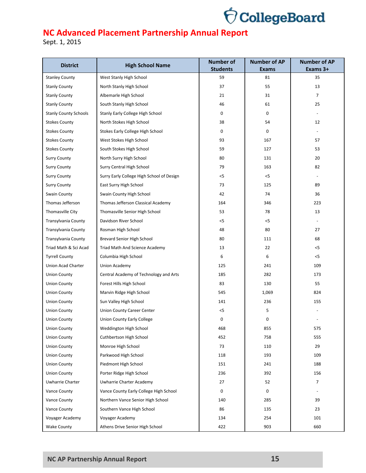

| <b>District</b>              | <b>High School Name</b>                                 | <b>Number of</b>      | <b>Number of AP</b> | <b>Number of AP</b>      |
|------------------------------|---------------------------------------------------------|-----------------------|---------------------|--------------------------|
| <b>Stanley County</b>        | West Stanly High School                                 | <b>Students</b><br>59 | <b>Exams</b><br>81  | Exams 3+<br>35           |
| <b>Stanly County</b>         | North Stanly High School                                | 37                    | 55                  | 13                       |
| <b>Stanly County</b>         | Albemarle High School                                   | 21                    | 31                  | 7                        |
| <b>Stanly County</b>         | South Stanly High School                                | 46                    | 61                  | 25                       |
| <b>Stanly County Schools</b> | Stanly Early College High School                        | 0                     | 0                   |                          |
| <b>Stokes County</b>         | North Stokes High School                                | 38                    | 54                  | 12                       |
| <b>Stokes County</b>         | Stokes Early College High School                        | 0                     | 0                   |                          |
| <b>Stokes County</b>         | West Stokes High School                                 | 93                    | 167                 | 57                       |
| <b>Stokes County</b>         | South Stokes High School                                | 59                    | 127                 | 53                       |
| <b>Surry County</b>          | North Surry High School                                 | 80                    | 131                 | 20                       |
| <b>Surry County</b>          | Surry Central High School                               | 79                    | 163                 | 82                       |
| <b>Surry County</b>          | Surry Early College High School of Design               | $<$ 5                 | $<$ 5               |                          |
| <b>Surry County</b>          | East Surry High School                                  | 73                    | 125                 | 89                       |
| Swain County                 | Swain County High School                                | 42                    | 74                  | 36                       |
| Thomas Jefferson             | Thomas Jefferson Classical Academy                      | 164                   | 346                 | 223                      |
|                              |                                                         |                       |                     |                          |
| Thomasville City             | Thomasville Senior High School<br>Davidson River School | 53                    | 78                  | 13                       |
| Transylvania County          |                                                         | $<$ 5                 | $<$ 5               |                          |
| <b>Transylvania County</b>   | Rosman High School                                      | 48                    | 80                  | 27                       |
| Transylvania County          | Brevard Senior High School                              | 80                    | 111                 | 68                       |
| Triad Math & Sci Acad        | Triad Math And Science Academy                          | 13                    | 22                  | $<$ 5                    |
| <b>Tyrrell County</b>        | Columbia High School                                    | 6                     | 6                   | $<$ 5                    |
| Union Acad Charter           | Union Academy                                           | 125                   | 241                 | 109                      |
| <b>Union County</b>          | Central Academy of Technology and Arts                  | 185                   | 282                 | 173                      |
| <b>Union County</b>          | Forest Hills High School                                | 83                    | 130                 | 55                       |
| <b>Union County</b>          | Marvin Ridge High School                                | 545                   | 1,069               | 824                      |
| <b>Union County</b>          | Sun Valley High School                                  | 141                   | 236                 | 155                      |
| <b>Union County</b>          | Union County Career Center                              | $<$ 5                 | 5                   |                          |
| <b>Union County</b>          | <b>Union County Early College</b>                       | 0                     | 0                   |                          |
| <b>Union County</b>          | Weddington High School                                  | 468                   | 855                 | 575                      |
| <b>Union County</b>          | Cuthbertson High School                                 | 452                   | 758                 | 555                      |
| <b>Union County</b>          | Monroe High School                                      | 73                    | 110                 | 29                       |
| <b>Union County</b>          | Parkwood High School                                    | 118                   | 193                 | 109                      |
| Union County                 | Piedmont High School                                    | 151                   | 241                 | 188                      |
| <b>Union County</b>          | Porter Ridge High School                                | 236                   | 392                 | 156                      |
| Uwharrie Charter             | Uwharrie Charter Academy                                | 27                    | 52                  | 7                        |
| Vance County                 | Vance County Early College High School                  | 0                     | 0                   | $\overline{\phantom{a}}$ |
| Vance County                 | Northern Vance Senior High School                       | 140                   | 285                 | 39                       |
| Vance County                 | Southern Vance High School                              | 86                    | 135                 | 23                       |
| Voyager Academy              | Voyager Academy                                         | 134                   | 254                 | 101                      |
| <b>Wake County</b>           | Athens Drive Senior High School                         | 422                   | 903                 | 660                      |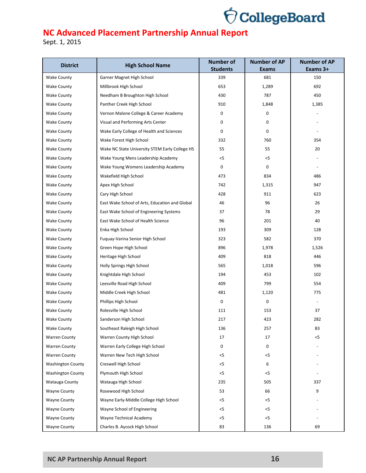

| <b>District</b>          | <b>High School Name</b>                        | <b>Number of</b><br><b>Students</b> | <b>Number of AP</b><br><b>Exams</b> | <b>Number of AP</b><br>Exams 3+ |
|--------------------------|------------------------------------------------|-------------------------------------|-------------------------------------|---------------------------------|
| <b>Wake County</b>       | Garner Magnet High School                      | 339                                 | 681                                 | 150                             |
| <b>Wake County</b>       | Millbrook High School                          | 653                                 | 1,289                               | 692                             |
| <b>Wake County</b>       | Needham B Broughton High School                | 430                                 | 787                                 | 450                             |
| <b>Wake County</b>       | Panther Creek High School                      | 910                                 | 1,848                               | 1,385                           |
| <b>Wake County</b>       | Vernon Malone College & Career Academy         | 0                                   | 0                                   |                                 |
| <b>Wake County</b>       | Visual and Performing Arts Center              | 0                                   | 0                                   |                                 |
| <b>Wake County</b>       | Wake Early College of Health and Sciences      | 0                                   | 0                                   |                                 |
| <b>Wake County</b>       | Wake Forest High School                        | 332                                 | 760                                 | 354                             |
| <b>Wake County</b>       | Wake NC State University STEM Early College HS | 55                                  | 55                                  | 20                              |
| <b>Wake County</b>       | Wake Young Mens Leadership Academy             | $<$ 5                               | $<$ 5                               |                                 |
| <b>Wake County</b>       | Wake Young Womens Leadership Academy           | 0                                   | 0                                   |                                 |
| <b>Wake County</b>       | Wakefield High School                          | 473                                 | 834                                 | 486                             |
|                          |                                                | 742                                 |                                     | 947                             |
| <b>Wake County</b>       | Apex High School<br>Cary High School           | 428                                 | 1,315<br>911                        | 623                             |
| <b>Wake County</b>       | East Wake School of Arts, Education and Global |                                     |                                     |                                 |
| <b>Wake County</b>       |                                                | 46                                  | 96                                  | 26                              |
| <b>Wake County</b>       | East Wake School of Engineering Systems        | 37                                  | 78                                  | 29                              |
| <b>Wake County</b>       | East Wake School of Health Science             | 96                                  | 201                                 | 40                              |
| <b>Wake County</b>       | Enka High School                               | 193                                 | 309                                 | 128                             |
| <b>Wake County</b>       | Fuquay-Varina Senior High School               | 323                                 | 582                                 | 370                             |
| <b>Wake County</b>       | Green Hope High School                         | 896                                 | 1,978                               | 1,526                           |
| <b>Wake County</b>       | Heritage High School                           | 409                                 | 818                                 | 446                             |
| <b>Wake County</b>       | Holly Springs High School                      | 565                                 | 1,018                               | 596                             |
| <b>Wake County</b>       | Knightdale High School                         | 194                                 | 453                                 | 102                             |
| <b>Wake County</b>       | Leesville Road High School                     | 409                                 | 799                                 | 554                             |
| <b>Wake County</b>       | Middle Creek High School                       | 481                                 | 1,120                               | 775                             |
| <b>Wake County</b>       | Phillips High School                           | 0                                   | $\mathbf 0$                         |                                 |
| <b>Wake County</b>       | Rolesville High School                         | 111                                 | 153                                 | 37                              |
| <b>Wake County</b>       | Sanderson High School                          | 217                                 | 423                                 | 282                             |
| <b>Wake County</b>       | Southeast Raleigh High School                  | 136                                 | 257                                 | 83                              |
| <b>Warren County</b>     | Warren County High School                      | 17                                  | 17                                  | $<$ 5                           |
| <b>Warren County</b>     | Warren Early College High School               | 0                                   | 0                                   |                                 |
| <b>Warren County</b>     | Warren New Tech High School                    | $<$ 5                               | $<$ 5                               |                                 |
| <b>Washington County</b> | Creswell High School                           | $<$ 5                               | 6                                   |                                 |
| <b>Washington County</b> | Plymouth High School                           | $<$ 5                               | $<$ 5                               |                                 |
| Watauga County           | Watauga High School                            | 235                                 | 505                                 | 337                             |
| <b>Wayne County</b>      | Rosewood High School                           | 53                                  | 66                                  | 9                               |
| <b>Wayne County</b>      | Wayne Early-Middle College High School         | $<$ 5                               | $<$ 5                               |                                 |
| Wayne County             | Wayne School of Engineering                    | $<$ 5                               | $<$ 5                               |                                 |
| Wayne County             | Wayne Technical Academy                        | $<$ 5                               | $<$ 5                               |                                 |
| Wayne County             | Charles B. Aycock High School                  | 83                                  | 136                                 | 69                              |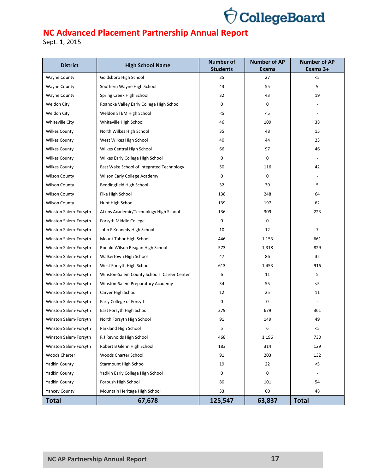

| <b>District</b>       | <b>High School Name</b>                     | <b>Number of</b><br><b>Students</b> | <b>Number of AP</b><br><b>Exams</b> | <b>Number of AP</b><br>Exams 3+ |  |
|-----------------------|---------------------------------------------|-------------------------------------|-------------------------------------|---------------------------------|--|
| <b>Wayne County</b>   | Goldsboro High School                       | 25                                  | 27                                  | $<$ 5                           |  |
| <b>Wayne County</b>   | Southern Wayne High School                  | 43                                  | 55                                  | 9                               |  |
| Wayne County          | Spring Creek High School                    | 32                                  | 43                                  | 19                              |  |
| <b>Weldon City</b>    | Roanoke Valley Early College High School    | 0                                   | $\mathbf 0$                         |                                 |  |
| Weldon City           | Weldon STEM High School                     | $<$ 5                               | $<$ 5                               |                                 |  |
| Whiteville City       | Whiteville High School                      | 46                                  | 109                                 | 38                              |  |
| <b>Wilkes County</b>  | North Wilkes High School                    | 35                                  | 48                                  | 15                              |  |
| <b>Wilkes County</b>  | West Wilkes High School                     | 40                                  | 44                                  | 23                              |  |
| <b>Wilkes County</b>  | Wilkes Central High School                  | 66                                  | 97                                  | 46                              |  |
| <b>Wilkes County</b>  | Wilkes Early College High School            | 0                                   | 0                                   |                                 |  |
| <b>Wilkes County</b>  | East Wake School of Integrated Technology   | 50                                  | 116                                 | 42                              |  |
| <b>Wilson County</b>  | Wilson Early College Academy                | 0                                   | $\mathbf 0$                         |                                 |  |
| <b>Wilson County</b>  | Beddingfield High School                    | 32                                  | 39                                  | 5                               |  |
| <b>Wilson County</b>  | Fike High School                            | 138                                 | 248                                 | 64                              |  |
| <b>Wilson County</b>  | Hunt High School                            | 139                                 | 197                                 | 62                              |  |
| Winston Salem-Forsyth | Atkins Academic/Technology High School      | 136                                 | 309                                 | 223                             |  |
| Winston Salem-Forsyth | Forsyth Middle College                      | 0                                   | 0                                   |                                 |  |
| Winston Salem-Forsyth | John F Kennedy High School                  | 10                                  | 12                                  | $\overline{7}$                  |  |
| Winston Salem-Forsyth | Mount Tabor High School                     | 446                                 | 1,153                               | 661                             |  |
| Winston Salem-Forsyth | Ronald Wilson Reagan High School            | 573                                 | 1,318                               | 829                             |  |
| Winston Salem-Forsyth | Walkertown High School                      | 47                                  | 86                                  | 32                              |  |
| Winston Salem-Forsyth | West Forsyth High School                    | 613                                 | 1,453                               | 916                             |  |
| Winston Salem-Forsyth | Winston-Salem County Schools: Career Center | 6                                   | 11                                  | 5                               |  |
| Winston Salem-Forsyth | Winston-Salem Preparatory Academy           | 34                                  | 55                                  | $<$ 5                           |  |
| Winston Salem-Forsyth | Carver High School                          | 12                                  | 25                                  | 11                              |  |
| Winston Salem-Forsyth | Early College of Forsyth                    | 0                                   | $\mathbf 0$                         |                                 |  |
| Winston Salem-Forsyth | East Forsyth High School                    | 379                                 | 679                                 | 361                             |  |
| Winston Salem-Forsyth | North Forsyth High School                   | 91                                  | 149                                 | 49                              |  |
| Winston Salem-Forsyth | Parkland High School                        | 5                                   | 6                                   | $<$ 5                           |  |
| Winston Salem-Forsyth | R J Reynolds High School                    | 468                                 | 1,196                               | 730                             |  |
| Winston Salem-Forsyth | Robert B Glenn High School                  | 183                                 | 314                                 | 129                             |  |
| Woods Charter         | Woods Charter School                        | 91                                  | 203                                 | 132                             |  |
| <b>Yadkin County</b>  | <b>Starmount High School</b>                | 19                                  | 22                                  | $<$ 5                           |  |
| <b>Yadkin County</b>  | Yadkin Early College High School            | 0                                   | $\mathbf 0$                         |                                 |  |
| <b>Yadkin County</b>  | Forbush High School                         | 80                                  | 101                                 | 54                              |  |
| <b>Yancey County</b>  | Mountain Heritage High School               | 33                                  | 60                                  | 48                              |  |
| <b>Total</b>          | 67,678                                      | 125,547                             | 63,837                              | <b>Total</b>                    |  |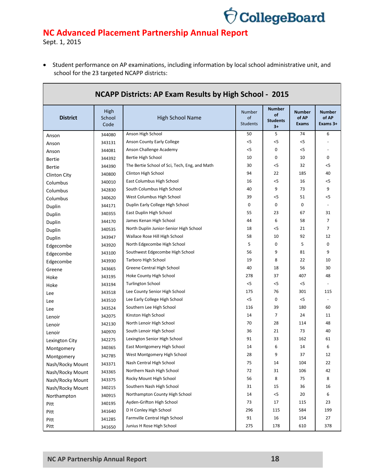

Sept. 1, 2015

 Student performance on AP examinations, including information by local school administrative unit, and school for the 23 targeted NCAPP districts:

| <b>NCAPP Districts: AP Exam Results by High School - 2015</b> |                        |                                               |                                            |                                                |                                        |                                      |  |
|---------------------------------------------------------------|------------------------|-----------------------------------------------|--------------------------------------------|------------------------------------------------|----------------------------------------|--------------------------------------|--|
| <b>District</b>                                               | High<br>School<br>Code | <b>High School Name</b>                       | Number<br><sub>of</sub><br><b>Students</b> | <b>Number</b><br>of<br><b>Students</b><br>$3+$ | <b>Number</b><br>of AP<br><b>Exams</b> | <b>Number</b><br>of AP<br>Exams $3+$ |  |
| Anson                                                         | 344080                 | Anson High School                             | 50                                         | 5                                              | 74                                     | 6                                    |  |
| Anson                                                         | 343131                 | Anson County Early College                    | $<$ 5                                      | $<$ 5                                          | $<$ 5                                  |                                      |  |
| Anson                                                         | 344081                 | Anson Challenge Academy                       | $<$ 5                                      | 0                                              | $<$ 5                                  |                                      |  |
| <b>Bertie</b>                                                 | 344392                 | Bertie High School                            | 10                                         | 0                                              | 10                                     | 0                                    |  |
| <b>Bertie</b>                                                 | 344390                 | The Bertie School of Sci, Tech, Eng, and Math | 30                                         | $<$ 5                                          | 32                                     | $<$ 5                                |  |
| Clinton City                                                  | 340800                 | Clinton High School                           | 94                                         | 22                                             | 185                                    | 40                                   |  |
| Columbus                                                      | 340010                 | East Columbus High School                     | 16                                         | $<$ 5                                          | 16                                     | $<$ 5                                |  |
| Columbus                                                      | 342830                 | South Columbus High School                    | 40                                         | 9                                              | 73                                     | 9                                    |  |
| Columbus                                                      | 340620                 | West Columbus High School                     | 39                                         | $<$ 5                                          | 51                                     | $<$ 5                                |  |
| Duplin                                                        | 344171                 | Duplin Early College High School              | 0                                          | 0                                              | 0                                      |                                      |  |
| Duplin                                                        | 340355                 | East Duplin High School                       | 55                                         | 23                                             | 67                                     | 31                                   |  |
| Duplin                                                        | 344170                 | James Kenan High School                       | 44                                         | 6                                              | 58                                     | 7                                    |  |
| Duplin                                                        | 340535                 | North Duplin Junior-Senior High School        | 18                                         | $<$ 5                                          | 21                                     | $\overline{7}$                       |  |
| Duplin                                                        | 343947                 | Wallace Rose Hill High School                 | 58                                         | 10                                             | 92                                     | 12                                   |  |
| Edgecombe                                                     | 343920                 | North Edgecombe High School                   | 5                                          | 0                                              | 5                                      | 0                                    |  |
| Edgecombe                                                     | 343100                 | Southwest Edgecombe High School               | 56                                         | 9                                              | 81                                     | 9                                    |  |
| Edgecombe                                                     | 343930                 | Tarboro High School                           | 19                                         | 8                                              | 22                                     | 10                                   |  |
| Greene                                                        | 343665                 | Greene Central High School                    | 40                                         | 18                                             | 56                                     | 30                                   |  |
| Hoke                                                          | 343195                 | Hoke County High School                       | 278                                        | 37                                             | 407                                    | 48                                   |  |
| Hoke                                                          | 343194                 | <b>Turlington School</b>                      | $<$ 5                                      | $<$ 5                                          | $<$ 5                                  |                                      |  |
| Lee                                                           | 343518                 | Lee County Senior High School                 | 175                                        | 76                                             | 301                                    | 115                                  |  |
| Lee                                                           | 343510                 | Lee Early College High School                 | $<$ 5                                      | 0                                              | < 5                                    | $\overline{\phantom{a}}$             |  |
| Lee                                                           | 343524                 | Southern Lee High School                      | 116                                        | 39                                             | 180                                    | 60                                   |  |
| Lenoir                                                        | 342075                 | Kinston High School                           | 14                                         | 7                                              | 24                                     | 11                                   |  |
| Lenoir                                                        | 342130                 | North Lenoir High School                      | 70                                         | 28                                             | 114                                    | 48                                   |  |
| Lenoir                                                        | 340970                 | South Lenoir High School                      | 36                                         | 21                                             | 73                                     | 40                                   |  |
| Lexington City                                                | 342275                 | Lexington Senior High School                  | 91                                         | 33                                             | 162                                    | 61                                   |  |
| Montgomery                                                    | 340365                 | East Montgomery High School                   | 14                                         | 6                                              | 14                                     | 6                                    |  |
| Montgomery                                                    | 342785                 | West Montgomery High School                   | 28                                         | 9                                              | 37                                     | 12                                   |  |
| Nash/Rocky Mount                                              | 343371                 | Nash Central High School                      | 75                                         | 14                                             | 104                                    | 22                                   |  |
| Nash/Rocky Mount                                              | 343365                 | Northern Nash High School                     | 72                                         | 31                                             | 106                                    | 42                                   |  |
| Nash/Rocky Mount                                              | 343375                 | Rocky Mount High School                       | 56                                         | 8                                              | 75                                     | 8                                    |  |
| Nash/Rocky Mount                                              | 340215                 | Southern Nash High School                     | 31                                         | 15                                             | 36                                     | 16                                   |  |
| Northampton                                                   | 340915                 | Northampton County High School                | 14                                         | $< 5$                                          | 20                                     | 6                                    |  |
| Pitt                                                          | 340195                 | Ayden-Grifton High School                     | 73                                         | 17                                             | 115                                    | 23                                   |  |
| Pitt                                                          | 341640                 | D H Conley High School                        | 296                                        | 115                                            | 584                                    | 199                                  |  |
| Pitt                                                          | 341285                 | Farmville Central High School                 | 91                                         | 16                                             | 154                                    | 27                                   |  |
| Pitt                                                          | 341650                 | Junius H Rose High School                     | 275                                        | 178                                            | 610                                    | 378                                  |  |